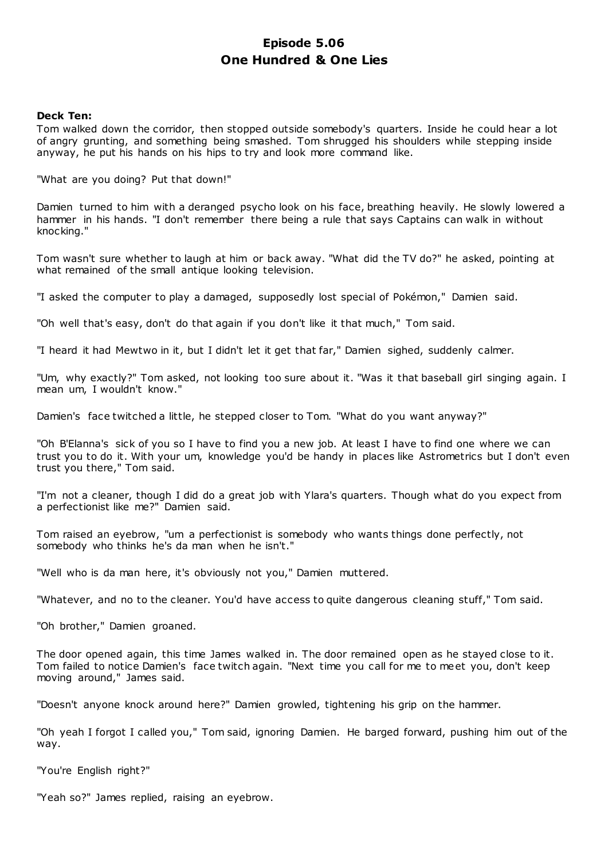# **Episode 5.06 One Hundred & One Lies**

# **Deck Ten:**

Tom walked down the corridor, then stopped outside somebody's quarters. Inside he could hear a lot of angry grunting, and something being smashed. Tom shrugged his shoulders while stepping inside anyway, he put his hands on his hips to try and look more command like.

"What are you doing? Put that down!"

Damien turned to him with a deranged psycho look on his face, breathing heavily. He slowly lowered a hammer in his hands. "I don't remember there being a rule that says Captains can walk in without knocking."

Tom wasn't sure whether to laugh at him or back away. "What did the TV do?" he asked, pointing at what remained of the small antique looking television.

"I asked the computer to play a damaged, supposedly lost special of Pokémon," Damien said.

"Oh well that's easy, don't do that again if you don't like it that much," Tom said.

"I heard it had Mewtwo in it, but I didn't let it get that far," Damien sighed, suddenly calmer.

"Um, why exactly?" Tom asked, not looking too sure about it. "Was it that baseball girl singing again. I mean um, I wouldn't know."

Damien's face twitched a little, he stepped closer to Tom. "What do you want anyway?"

"Oh B'Elanna's sick of you so I have to find you a new job. At least I have to find one where we can trust you to do it. With your um, knowledge you'd be handy in places like Astrometrics but I don't even trust you there," Tom said.

"I'm not a cleaner, though I did do a great job with Ylara's quarters. Though what do you expect from a perfectionist like me?" Damien said.

Tom raised an eyebrow, "um a perfectionist is somebody who wants things done perfectly, not somebody who thinks he's da man when he isn't."

"Well who is da man here, it's obviously not you," Damien muttered.

"Whatever, and no to the cleaner. You'd have access to quite dangerous cleaning stuff," Tom said.

"Oh brother," Damien groaned.

The door opened again, this time James walked in. The door remained open as he stayed close to it. Tom failed to notice Damien's face twitch again. "Next time you call for me to meet you, don't keep moving around," James said.

"Doesn't anyone knock around here?" Damien growled, tightening his grip on the hammer.

"Oh yeah I forgot I called you," Tom said, ignoring Damien. He barged forward, pushing him out of the way.

"You're English right?"

"Yeah so?" James replied, raising an eyebrow.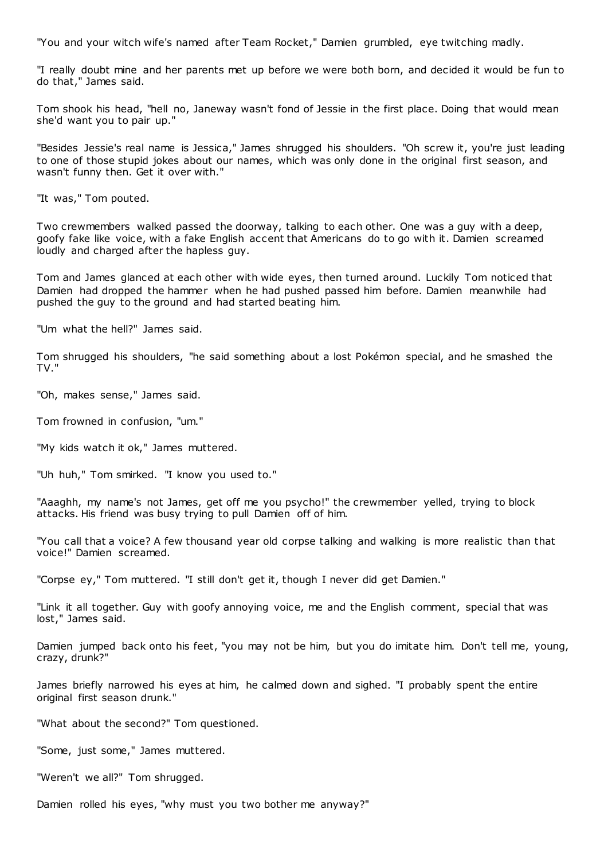"You and your witch wife's named after Team Rocket," Damien grumbled, eye twitching madly.

"I really doubt mine and her parents met up before we were both born, and decided it would be fun to do that," James said.

Tom shook his head, "hell no, Janeway wasn't fond of Jessie in the first place. Doing that would mean she'd want you to pair up."

"Besides Jessie's real name is Jessica," James shrugged his shoulders. "Oh screw it, you're just leading to one of those stupid jokes about our names, which was only done in the original first season, and wasn't funny then. Get it over with."

"It was," Tom pouted.

Two crewmembers walked passed the doorway, talking to each other. One was a guy with a deep, goofy fake like voice, with a fake English accent that Americans do to go with it. Damien screamed loudly and charged after the hapless guy.

Tom and James glanced at each other with wide eyes, then turned around. Luckily Tom noticed that Damien had dropped the hammer when he had pushed passed him before. Damien meanwhile had pushed the guy to the ground and had started beating him.

"Um what the hell?" James said.

Tom shrugged his shoulders, "he said something about a lost Pokémon special, and he smashed the TV."

"Oh, makes sense," James said.

Tom frowned in confusion, "um."

"My kids watch it ok," James muttered.

"Uh huh," Tom smirked. "I know you used to."

"Aaaghh, my name's not James, get off me you psycho!" the crewmember yelled, trying to block attacks. His friend was busy trying to pull Damien off of him.

"You call that a voice? A few thousand year old corpse talking and walking is more realistic than that voice!" Damien screamed.

"Corpse ey," Tom muttered. "I still don't get it, though I never did get Damien."

"Link it all together. Guy with goofy annoying voice, me and the English comment, special that was lost," James said.

Damien jumped back onto his feet, "you may not be him, but you do imitate him. Don't tell me, young, crazy, drunk?"

James briefly narrowed his eyes at him, he calmed down and sighed. "I probably spent the entire original first season drunk."

"What about the second?" Tom questioned.

"Some, just some," James muttered.

"Weren't we all?" Tom shrugged.

Damien rolled his eyes, "why must you two bother me anyway?"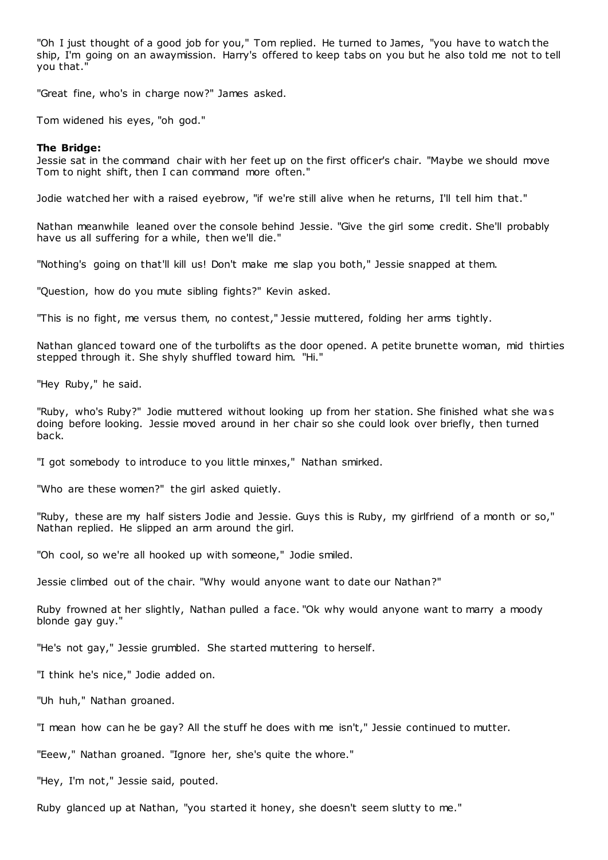"Oh I just thought of a good job for you," Tom replied. He turned to James, "you have to watch the ship, I'm going on an awaymission. Harry's offered to keep tabs on you but he also told me not to tell you that."

"Great fine, who's in charge now?" James asked.

Tom widened his eyes, "oh god."

## **The Bridge:**

Jessie sat in the command chair with her feet up on the first officer's chair. "Maybe we should move Tom to night shift, then I can command more often."

Jodie watched her with a raised eyebrow, "if we're still alive when he returns, I'll tell him that."

Nathan meanwhile leaned over the console behind Jessie. "Give the girl some credit. She'll probably have us all suffering for a while, then we'll die."

"Nothing's going on that'll kill us! Don't make me slap you both," Jessie snapped at them.

"Question, how do you mute sibling fights?" Kevin asked.

"This is no fight, me versus them, no contest," Jessie muttered, folding her arms tightly.

Nathan glanced toward one of the turbolifts as the door opened. A petite brunette woman, mid thirties stepped through it. She shyly shuffled toward him. "Hi."

"Hey Ruby," he said.

"Ruby, who's Ruby?" Jodie muttered without looking up from her station. She finished what she was doing before looking. Jessie moved around in her chair so she could look over briefly, then turned back.

"I got somebody to introduce to you little minxes," Nathan smirked.

"Who are these women?" the girl asked quietly.

"Ruby, these are my half sisters Jodie and Jessie. Guys this is Ruby, my girlfriend of a month or so," Nathan replied. He slipped an arm around the girl.

"Oh cool, so we're all hooked up with someone," Jodie smiled.

Jessie climbed out of the chair. "Why would anyone want to date our Nathan?"

Ruby frowned at her slightly, Nathan pulled a face. "Ok why would anyone want to marry a moody blonde gay guy."

"He's not gay," Jessie grumbled. She started muttering to herself.

"I think he's nice," Jodie added on.

"Uh huh," Nathan groaned.

"I mean how can he be gay? All the stuff he does with me isn't," Jessie continued to mutter.

"Eeew," Nathan groaned. "Ignore her, she's quite the whore."

"Hey, I'm not," Jessie said, pouted.

Ruby glanced up at Nathan, "you started it honey, she doesn't seem slutty to me."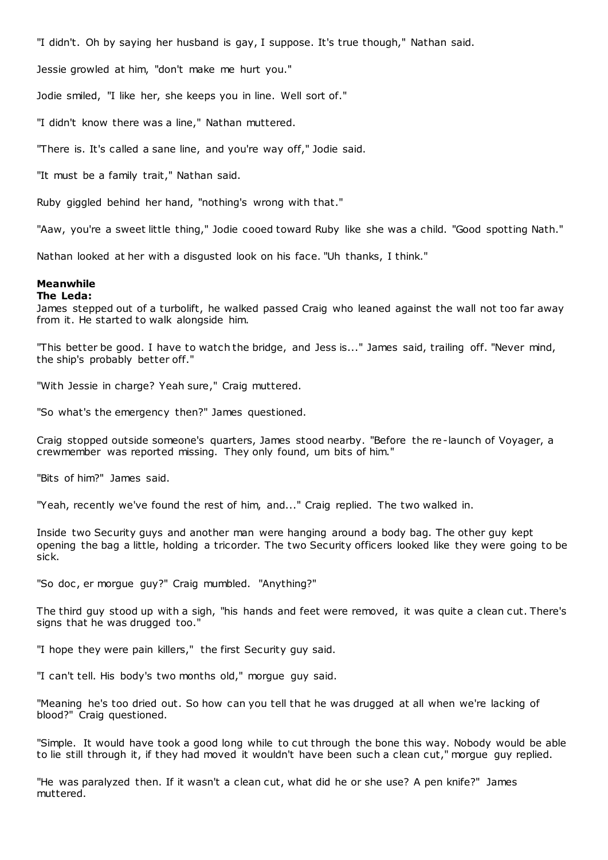"I didn't. Oh by saying her husband is gay, I suppose. It's true though," Nathan said.

Jessie growled at him, "don't make me hurt you."

Jodie smiled, "I like her, she keeps you in line. Well sort of."

"I didn't know there was a line," Nathan muttered.

"There is. It's called a sane line, and you're way off," Jodie said.

"It must be a family trait," Nathan said.

Ruby giggled behind her hand, "nothing's wrong with that."

"Aaw, you're a sweet little thing," Jodie cooed toward Ruby like she was a child. "Good spotting Nath."

Nathan looked at her with a disgusted look on his face. "Uh thanks, I think."

# **Meanwhile**

# **The Leda:**

James stepped out of a turbolift, he walked passed Craig who leaned against the wall not too far away from it. He started to walk alongside him.

"This better be good. I have to watch the bridge, and Jess is..." James said, trailing off. "Never mind, the ship's probably better off."

"With Jessie in charge? Yeah sure," Craig muttered.

"So what's the emergency then?" James questioned.

Craig stopped outside someone's quarters, James stood nearby. "Before the re-launch of Voyager, a crewmember was reported missing. They only found, um bits of him."

"Bits of him?" James said.

"Yeah, recently we've found the rest of him, and..." Craig replied. The two walked in.

Inside two Security guys and another man were hanging around a body bag. The other guy kept opening the bag a little, holding a tricorder. The two Security officers looked like they were going to be sick.

"So doc, er morgue guy?" Craig mumbled. "Anything?"

The third guy stood up with a sigh, "his hands and feet were removed, it was quite a clean cut. There's signs that he was drugged too."

"I hope they were pain killers," the first Security guy said.

"I can't tell. His body's two months old," morgue guy said.

"Meaning he's too dried out. So how can you tell that he was drugged at all when we're lacking of blood?" Craig questioned.

"Simple. It would have took a good long while to cut through the bone this way. Nobody would be able to lie still through it, if they had moved it wouldn't have been such a clean cut," morgue guy replied.

"He was paralyzed then. If it wasn't a clean cut, what did he or she use? A pen knife?" James muttered.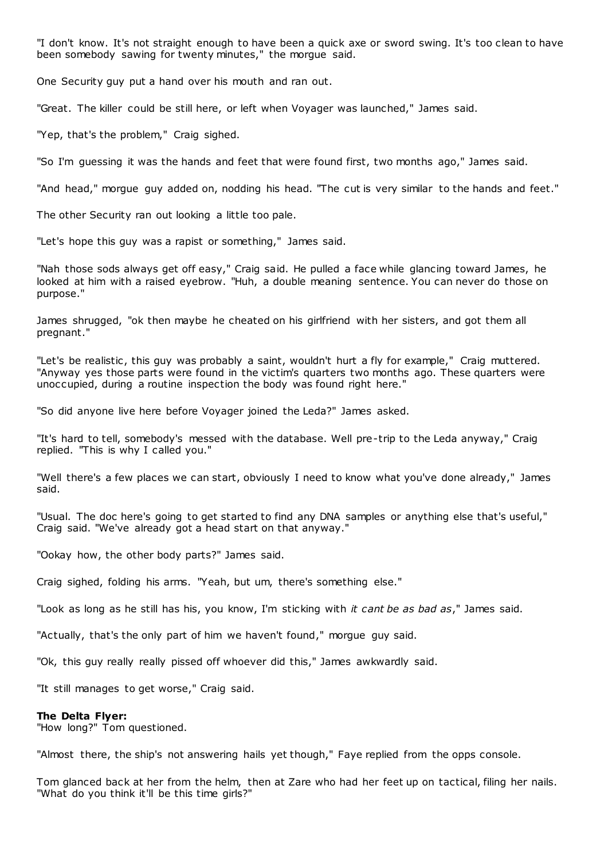"I don't know. It's not straight enough to have been a quick axe or sword swing. It's too clean to have been somebody sawing for twenty minutes," the morgue said.

One Security guy put a hand over his mouth and ran out.

"Great. The killer could be still here, or left when Voyager was launched," James said.

"Yep, that's the problem," Craig sighed.

"So I'm guessing it was the hands and feet that were found first, two months ago," James said.

"And head," morgue guy added on, nodding his head. "The cut is very similar to the hands and feet."

The other Security ran out looking a little too pale.

"Let's hope this guy was a rapist or something," James said.

"Nah those sods always get off easy," Craig said. He pulled a face while glancing toward James, he looked at him with a raised eyebrow. "Huh, a double meaning sentence. You can never do those on purpose."

James shrugged, "ok then maybe he cheated on his girlfriend with her sisters, and got them all pregnant."

"Let's be realistic, this guy was probably a saint, wouldn't hurt a fly for example," Craig muttered. "Anyway yes those parts were found in the victim's quarters two months ago. These quarters were unoccupied, during a routine inspection the body was found right here."

"So did anyone live here before Voyager joined the Leda?" James asked.

"It's hard to tell, somebody's messed with the database. Well pre-trip to the Leda anyway," Craig replied. "This is why I called you."

"Well there's a few places we can start, obviously I need to know what you've done already," James said.

"Usual. The doc here's going to get started to find any DNA samples or anything else that's useful," Craig said. "We've already got a head start on that anyway."

"Ookay how, the other body parts?" James said.

Craig sighed, folding his arms. "Yeah, but um, there's something else."

"Look as long as he still has his, you know, I'm sticking with *it cant be as bad as*," James said.

"Actually, that's the only part of him we haven't found," morgue guy said.

"Ok, this guy really really pissed off whoever did this," James awkwardly said.

"It still manages to get worse," Craig said.

#### **The Delta Flyer:**

"How long?" Tom questioned.

"Almost there, the ship's not answering hails yet though," Faye replied from the opps console.

Tom glanced back at her from the helm, then at Zare who had her feet up on tactical, filing her nails. "What do you think it'll be this time girls?"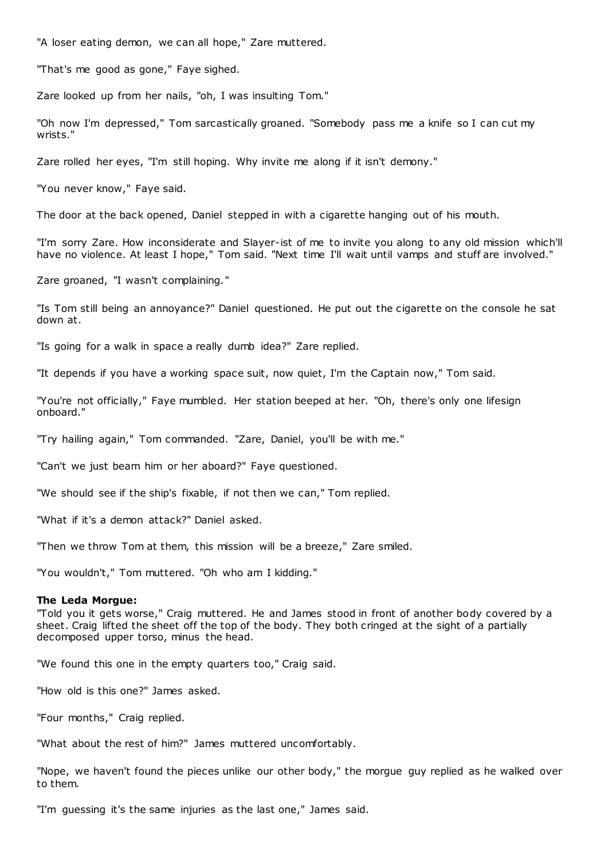"A loser eating demon, we can all hope," Zare muttered.

"That's me good as gone," Faye sighed.

Zare looked up from her nails, "oh, I was insulting Tom."

"Oh now I'm depressed," Tom sarcastically groaned. "Somebody pass me a knife so I can cut my wrists."

Zare rolled her eyes, "I'm still hoping. Why invite me along if it isn't demony."

"You never know," Faye said.

The door at the back opened, Daniel stepped in with a cigarette hanging out of his mouth.

"I'm sorry Zare. How inconsiderate and Slayer-ist of me to invite you along to any old mission which'll have no violence. At least I hope," Tom said. "Next time I'll wait until vamps and stuff are involved."

Zare groaned, "I wasn't complaining."

"Is Tom still being an annoyance?" Daniel questioned. He put out the cigarette on the console he sat down at.

"Is going for a walk in space a really dumb idea?" Zare replied.

"It depends if you have a working space suit, now quiet, I'm the Captain now," Tom said.

"You're not officially," Faye mumbled. Her station beeped at her. "Oh, there's only one lifesign onboard."

"Try hailing again," Tom commanded. "Zare, Daniel, you'll be with me."

"Can't we just beam him or her aboard?" Faye questioned.

"We should see if the ship's fixable, if not then we can," Tom replied.

"What if it's a demon attack?" Daniel asked.

"Then we throw Tom at them, this mission will be a breeze," Zare smiled.

"You wouldn't," Tom muttered. "Oh who am I kidding."

#### **The Leda Morgue:**

"Told you it gets worse," Craig muttered. He and James stood in front of another body covered by a sheet. Craig lifted the sheet off the top of the body. They both cringed at the sight of a partially decomposed upper torso, minus the head.

"We found this one in the empty quarters too," Craig said.

"How old is this one?" James asked.

"Four months," Craig replied.

"What about the rest of him?" James muttered uncomfortably.

"Nope, we haven't found the pieces unlike our other body," the morgue guy replied as he walked over to them.

"I'm guessing it's the same injuries as the last one," James said.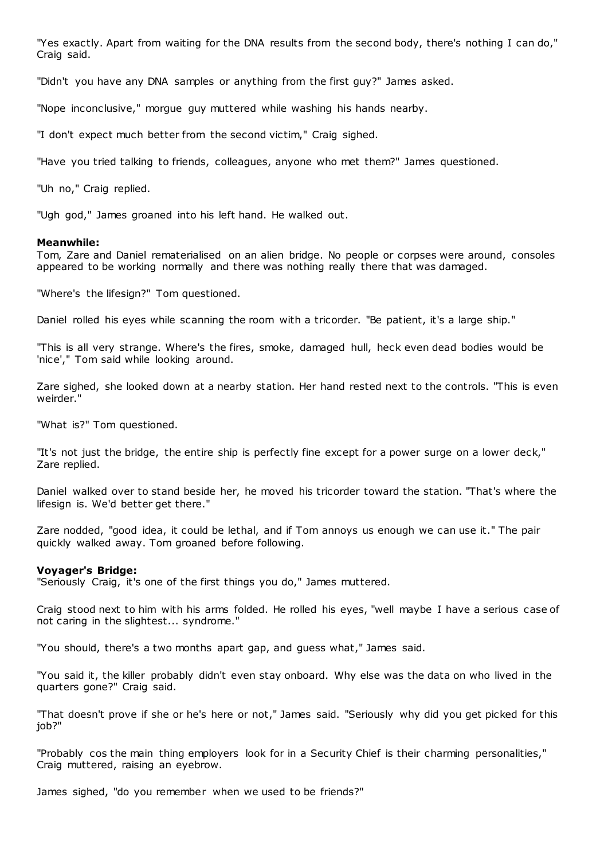"Yes exactly. Apart from waiting for the DNA results from the second body, there's nothing I can do," Craig said.

"Didn't you have any DNA samples or anything from the first guy?" James asked.

"Nope inconclusive," morgue guy muttered while washing his hands nearby.

"I don't expect much better from the second victim," Craig sighed.

"Have you tried talking to friends, colleagues, anyone who met them?" James questioned.

"Uh no," Craig replied.

"Ugh god," James groaned into his left hand. He walked out.

# **Meanwhile:**

Tom, Zare and Daniel rematerialised on an alien bridge. No people or corpses were around, consoles appeared to be working normally and there was nothing really there that was damaged.

"Where's the lifesign?" Tom questioned.

Daniel rolled his eyes while scanning the room with a tricorder. "Be patient, it's a large ship."

"This is all very strange. Where's the fires, smoke, damaged hull, heck even dead bodies would be 'nice'," Tom said while looking around.

Zare sighed, she looked down at a nearby station. Her hand rested next to the controls. "This is even weirder."

"What is?" Tom questioned.

"It's not just the bridge, the entire ship is perfectly fine except for a power surge on a lower deck," Zare replied.

Daniel walked over to stand beside her, he moved his tricorder toward the station. "That's where the lifesign is. We'd better get there."

Zare nodded, "good idea, it could be lethal, and if Tom annoys us enough we can use it." The pair quickly walked away. Tom groaned before following.

# **Voyager's Bridge:**

"Seriously Craig, it's one of the first things you do," James muttered.

Craig stood next to him with his arms folded. He rolled his eyes, "well maybe I have a serious case of not caring in the slightest... syndrome."

"You should, there's a two months apart gap, and guess what," James said.

"You said it, the killer probably didn't even stay onboard. Why else was the data on who lived in the quarters gone?" Craig said.

"That doesn't prove if she or he's here or not," James said. "Seriously why did you get picked for this job?"

"Probably cos the main thing employers look for in a Security Chief is their charming personalities," Craig muttered, raising an eyebrow.

James sighed, "do you remember when we used to be friends?"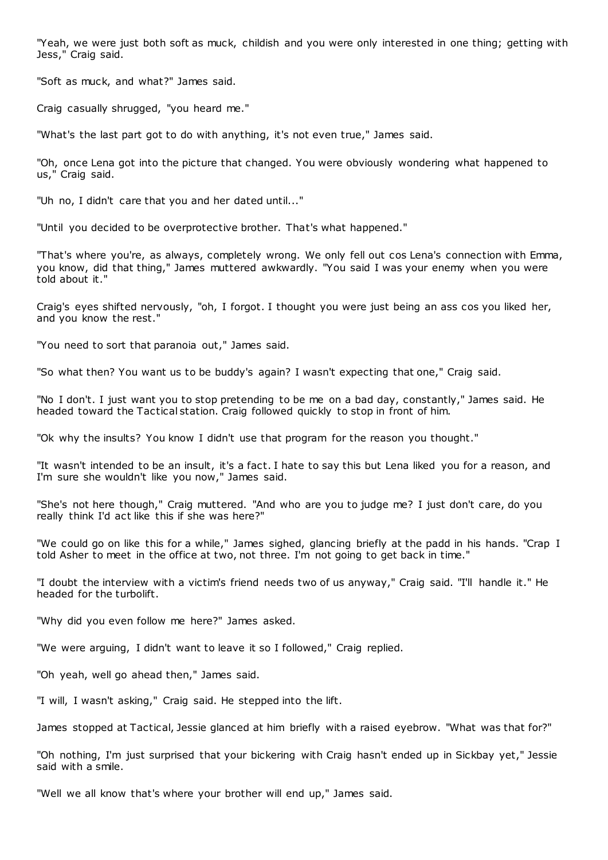"Yeah, we were just both soft as muck, childish and you were only interested in one thing; getting with Jess," Craig said.

"Soft as muck, and what?" James said.

Craig casually shrugged, "you heard me."

"What's the last part got to do with anything, it's not even true," James said.

"Oh, once Lena got into the picture that changed. You were obviously wondering what happened to us," Craig said.

"Uh no, I didn't care that you and her dated until..."

"Until you decided to be overprotective brother. That's what happened."

"That's where you're, as always, completely wrong. We only fell out cos Lena's connection with Emma, you know, did that thing," James muttered awkwardly. "You said I was your enemy when you were told about it."

Craig's eyes shifted nervously, "oh, I forgot. I thought you were just being an ass cos you liked her, and you know the rest."

"You need to sort that paranoia out," James said.

"So what then? You want us to be buddy's again? I wasn't expecting that one," Craig said.

"No I don't. I just want you to stop pretending to be me on a bad day, constantly," James said. He headed toward the Tactical station. Craig followed quickly to stop in front of him.

"Ok why the insults? You know I didn't use that program for the reason you thought."

"It wasn't intended to be an insult, it's a fact. I hate to say this but Lena liked you for a reason, and I'm sure she wouldn't like you now," James said.

"She's not here though," Craig muttered. "And who are you to judge me? I just don't care, do you really think I'd act like this if she was here?"

"We could go on like this for a while," James sighed, glancing briefly at the padd in his hands. "Crap I told Asher to meet in the office at two, not three. I'm not going to get back in time."

"I doubt the interview with a victim's friend needs two of us anyway," Craig said. "I'll handle it." He headed for the turbolift.

"Why did you even follow me here?" James asked.

"We were arguing, I didn't want to leave it so I followed," Craig replied.

"Oh yeah, well go ahead then," James said.

"I will, I wasn't asking," Craig said. He stepped into the lift.

James stopped at Tactical, Jessie glanced at him briefly with a raised eyebrow. "What was that for?"

"Oh nothing, I'm just surprised that your bickering with Craig hasn't ended up in Sickbay yet," Jessie said with a smile.

"Well we all know that's where your brother will end up," James said.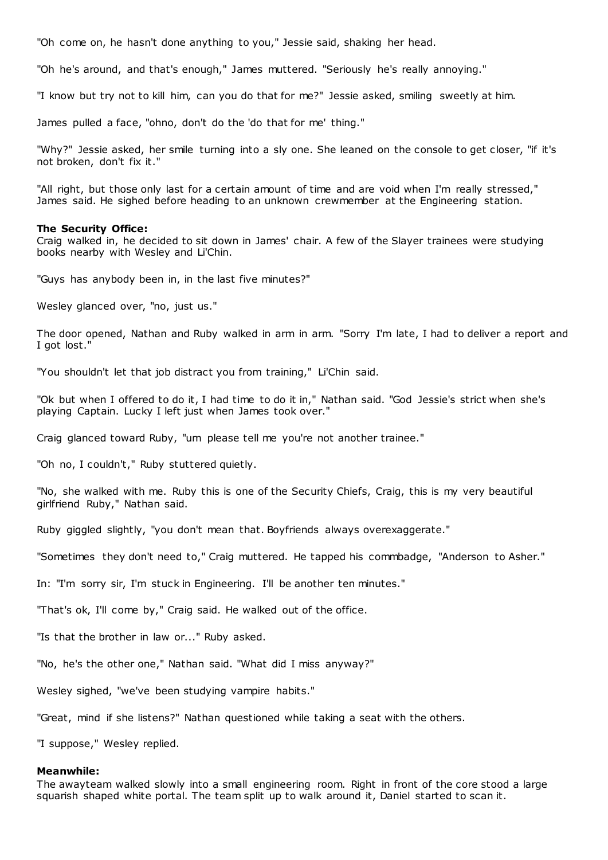"Oh come on, he hasn't done anything to you," Jessie said, shaking her head.

"Oh he's around, and that's enough," James muttered. "Seriously he's really annoying."

"I know but try not to kill him, can you do that for me?" Jessie asked, smiling sweetly at him.

James pulled a face, "ohno, don't do the 'do that for me' thing."

"Why?" Jessie asked, her smile turning into a sly one. She leaned on the console to get closer, "if it's not broken, don't fix it."

"All right, but those only last for a certain amount of time and are void when I'm really stressed," James said. He sighed before heading to an unknown crewmember at the Engineering station.

#### **The Security Office:**

Craig walked in, he decided to sit down in James' chair. A few of the Slayer trainees were studying books nearby with Wesley and Li'Chin.

"Guys has anybody been in, in the last five minutes?"

Wesley glanced over, "no, just us."

The door opened, Nathan and Ruby walked in arm in arm. "Sorry I'm late, I had to deliver a report and I got lost."

"You shouldn't let that job distract you from training," Li'Chin said.

"Ok but when I offered to do it, I had time to do it in," Nathan said. "God Jessie's strict when she's playing Captain. Lucky I left just when James took over."

Craig glanced toward Ruby, "um please tell me you're not another trainee."

"Oh no, I couldn't," Ruby stuttered quietly.

"No, she walked with me. Ruby this is one of the Security Chiefs, Craig, this is my very beautiful girlfriend Ruby," Nathan said.

Ruby giggled slightly, "you don't mean that. Boyfriends always overexaggerate."

"Sometimes they don't need to," Craig muttered. He tapped his commbadge, "Anderson to Asher."

In: "I'm sorry sir, I'm stuck in Engineering. I'll be another ten minutes."

"That's ok, I'll come by," Craig said. He walked out of the office.

"Is that the brother in law or..." Ruby asked.

"No, he's the other one," Nathan said. "What did I miss anyway?"

Wesley sighed, "we've been studying vampire habits."

"Great, mind if she listens?" Nathan questioned while taking a seat with the others.

"I suppose," Wesley replied.

#### **Meanwhile:**

The awayteam walked slowly into a small engineering room. Right in front of the core stood a large squarish shaped white portal. The team split up to walk around it, Daniel started to scan it.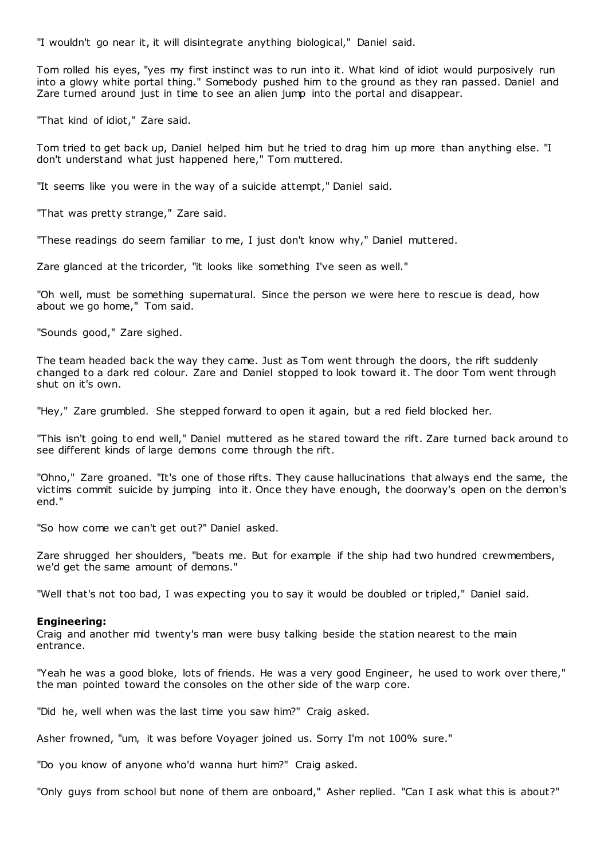"I wouldn't go near it, it will disintegrate anything biological," Daniel said.

Tom rolled his eyes, "yes my first instinct was to run into it. What kind of idiot would purposively run into a glowy white portal thing." Somebody pushed him to the ground as they ran passed. Daniel and Zare turned around just in time to see an alien jump into the portal and disappear.

"That kind of idiot," Zare said.

Tom tried to get back up, Daniel helped him but he tried to drag him up more than anything else. "I don't understand what just happened here," Tom muttered.

"It seems like you were in the way of a suicide attempt," Daniel said.

"That was pretty strange," Zare said.

"These readings do seem familiar to me, I just don't know why," Daniel muttered.

Zare glanced at the tricorder, "it looks like something I've seen as well."

"Oh well, must be something supernatural. Since the person we were here to rescue is dead, how about we go home," Tom said.

"Sounds good," Zare sighed.

The team headed back the way they came. Just as Tom went through the doors, the rift suddenly changed to a dark red colour. Zare and Daniel stopped to look toward it. The door Tom went through shut on it's own.

"Hey," Zare grumbled. She stepped forward to open it again, but a red field blocked her.

"This isn't going to end well," Daniel muttered as he stared toward the rift. Zare turned back around to see different kinds of large demons come through the rift.

"Ohno," Zare groaned. "It's one of those rifts. They cause hallucinations that always end the same, the victims commit suicide by jumping into it. Once they have enough, the doorway's open on the demon's end."

"So how come we can't get out?" Daniel asked.

Zare shrugged her shoulders, "beats me. But for example if the ship had two hundred crewmembers, we'd get the same amount of demons."

"Well that's not too bad, I was expecting you to say it would be doubled or tripled," Daniel said.

#### **Engineering:**

Craig and another mid twenty's man were busy talking beside the station nearest to the main entrance.

"Yeah he was a good bloke, lots of friends. He was a very good Engineer, he used to work over there," the man pointed toward the consoles on the other side of the warp core.

"Did he, well when was the last time you saw him?" Craig asked.

Asher frowned, "um, it was before Voyager joined us. Sorry I'm not 100% sure."

"Do you know of anyone who'd wanna hurt him?" Craig asked.

"Only guys from school but none of them are onboard," Asher replied. "Can I ask what this is about?"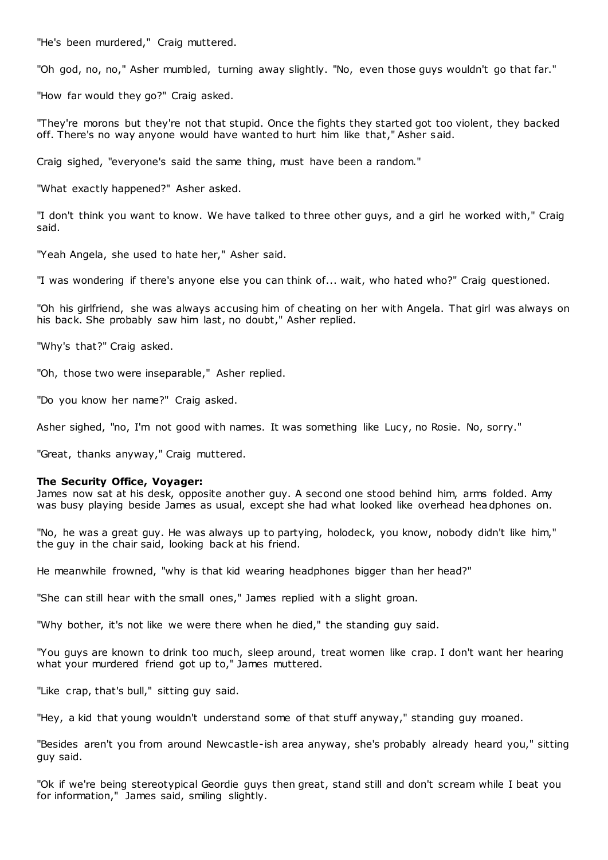"He's been murdered," Craig muttered.

"Oh god, no, no," Asher mumbled, turning away slightly. "No, even those guys wouldn't go that far."

"How far would they go?" Craig asked.

"They're morons but they're not that stupid. Once the fights they started got too violent, they backed off. There's no way anyone would have wanted to hurt him like that," Asher said.

Craig sighed, "everyone's said the same thing, must have been a random."

"What exactly happened?" Asher asked.

"I don't think you want to know. We have talked to three other guys, and a girl he worked with," Craig said.

"Yeah Angela, she used to hate her," Asher said.

"I was wondering if there's anyone else you can think of... wait, who hated who?" Craig questioned.

"Oh his girlfriend, she was always accusing him of cheating on her with Angela. That girl was always on his back. She probably saw him last, no doubt," Asher replied.

"Why's that?" Craig asked.

"Oh, those two were inseparable," Asher replied.

"Do you know her name?" Craig asked.

Asher sighed, "no, I'm not good with names. It was something like Lucy, no Rosie. No, sorry."

"Great, thanks anyway," Craig muttered.

#### **The Security Office, Voyager:**

James now sat at his desk, opposite another guy. A second one stood behind him, arms folded. Amy was busy playing beside James as usual, except she had what looked like overhead headphones on.

"No, he was a great guy. He was always up to partying, holodeck, you know, nobody didn't like him," the guy in the chair said, looking back at his friend.

He meanwhile frowned, "why is that kid wearing headphones bigger than her head?"

"She can still hear with the small ones," James replied with a slight groan.

"Why bother, it's not like we were there when he died," the standing guy said.

"You guys are known to drink too much, sleep around, treat women like crap. I don't want her hearing what your murdered friend got up to," James muttered.

"Like crap, that's bull," sitting guy said.

"Hey, a kid that young wouldn't understand some of that stuff anyway," standing guy moaned.

"Besides aren't you from around Newcastle-ish area anyway, she's probably already heard you," sitting guy said.

"Ok if we're being stereotypical Geordie guys then great, stand still and don't scream while I beat you for information," James said, smiling slightly.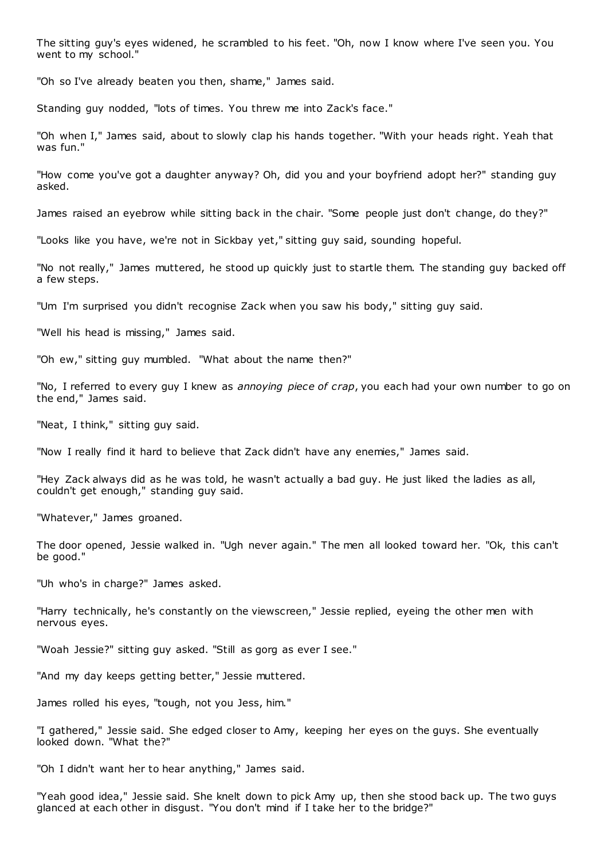The sitting guy's eyes widened, he scrambled to his feet. "Oh, now I know where I've seen you. You went to my school."

"Oh so I've already beaten you then, shame," James said.

Standing guy nodded, "lots of times. You threw me into Zack's face."

"Oh when I," James said, about to slowly clap his hands together. "With your heads right. Yeah that was fun."

"How come you've got a daughter anyway? Oh, did you and your boyfriend adopt her?" standing guy asked.

James raised an eyebrow while sitting back in the chair. "Some people just don't change, do they?"

"Looks like you have, we're not in Sickbay yet," sitting guy said, sounding hopeful.

"No not really," James muttered, he stood up quickly just to startle them. The standing guy backed off a few steps.

"Um I'm surprised you didn't recognise Zack when you saw his body," sitting guy said.

"Well his head is missing," James said.

"Oh ew," sitting guy mumbled. "What about the name then?"

"No, I referred to every guy I knew as *annoying piece of crap*, you each had your own number to go on the end," James said.

"Neat, I think," sitting guy said.

"Now I really find it hard to believe that Zack didn't have any enemies," James said.

"Hey Zack always did as he was told, he wasn't actually a bad guy. He just liked the ladies as all, couldn't get enough," standing guy said.

"Whatever," James groaned.

The door opened, Jessie walked in. "Ugh never again." The men all looked toward her. "Ok, this can't be good."

"Uh who's in charge?" James asked.

"Harry technically, he's constantly on the viewscreen," Jessie replied, eyeing the other men with nervous eyes.

"Woah Jessie?" sitting guy asked. "Still as gorg as ever I see."

"And my day keeps getting better," Jessie muttered.

James rolled his eyes, "tough, not you Jess, him."

"I gathered," Jessie said. She edged closer to Amy, keeping her eyes on the guys. She eventually looked down. "What the?"

"Oh I didn't want her to hear anything," James said.

"Yeah good idea," Jessie said. She knelt down to pick Amy up, then she stood back up. The two guys glanced at each other in disgust. "You don't mind if I take her to the bridge?"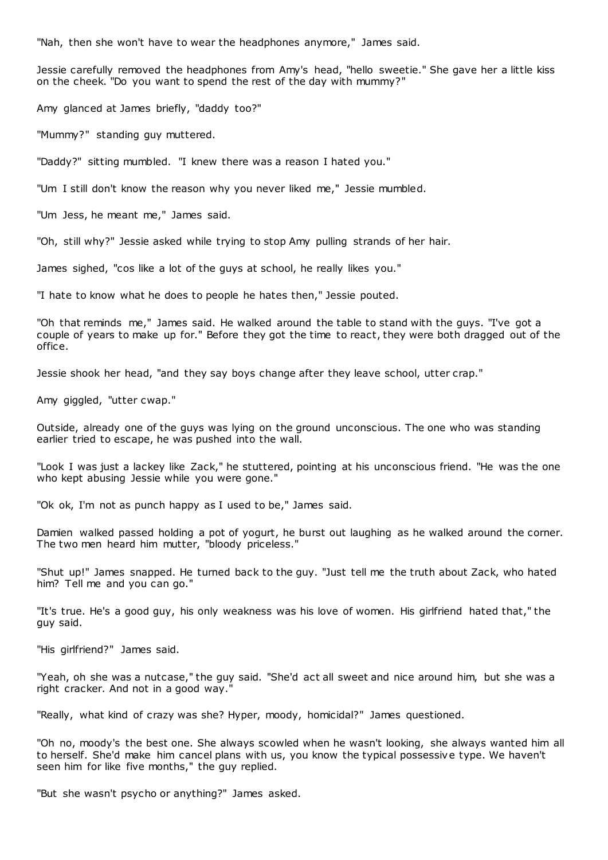"Nah, then she won't have to wear the headphones anymore," James said.

Jessie carefully removed the headphones from Amy's head, "hello sweetie." She gave her a little kiss on the cheek. "Do you want to spend the rest of the day with mummy?"

Amy glanced at James briefly, "daddy too?"

"Mummy?" standing guy muttered.

"Daddy?" sitting mumbled. "I knew there was a reason I hated you."

"Um I still don't know the reason why you never liked me," Jessie mumbled.

"Um Jess, he meant me," James said.

"Oh, still why?" Jessie asked while trying to stop Amy pulling strands of her hair.

James sighed, "cos like a lot of the guys at school, he really likes you."

"I hate to know what he does to people he hates then," Jessie pouted.

"Oh that reminds me," James said. He walked around the table to stand with the guys. "I've got a couple of years to make up for." Before they got the time to react, they were both dragged out of the office.

Jessie shook her head, "and they say boys change after they leave school, utter crap."

Amy giggled, "utter cwap."

Outside, already one of the guys was lying on the ground unconscious. The one who was standing earlier tried to escape, he was pushed into the wall.

"Look I was just a lackey like Zack," he stuttered, pointing at his unconscious friend. "He was the one who kept abusing Jessie while you were gone."

"Ok ok, I'm not as punch happy as I used to be," James said.

Damien walked passed holding a pot of yogurt, he burst out laughing as he walked around the corner. The two men heard him mutter, "bloody priceless."

"Shut up!" James snapped. He turned back to the guy. "Just tell me the truth about Zack, who hated him? Tell me and you can go."

"It's true. He's a good guy, his only weakness was his love of women. His girlfriend hated that," the guy said.

"His girlfriend?" James said.

"Yeah, oh she was a nutcase," the guy said. "She'd act all sweet and nice around him, but she was a right cracker. And not in a good way."

"Really, what kind of crazy was she? Hyper, moody, homicidal?" James questioned.

"Oh no, moody's the best one. She always scowled when he wasn't looking, she always wanted him all to herself. She'd make him cancel plans with us, you know the typical possessive type. We haven't seen him for like five months," the guy replied.

"But she wasn't psycho or anything?" James asked.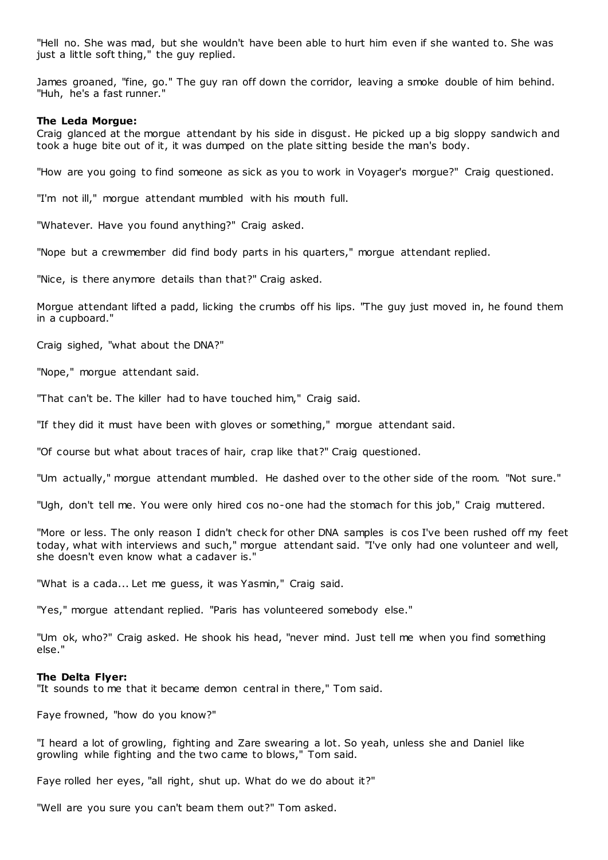"Hell no. She was mad, but she wouldn't have been able to hurt him even if she wanted to. She was just a little soft thing," the guy replied.

James groaned, "fine, go." The guy ran off down the corridor, leaving a smoke double of him behind. "Huh, he's a fast runner."

### **The Leda Morgue:**

Craig glanced at the morgue attendant by his side in disgust. He picked up a big sloppy sandwich and took a huge bite out of it, it was dumped on the plate sitting beside the man's body.

"How are you going to find someone as sick as you to work in Voyager's morgue?" Craig questioned.

"I'm not ill," morgue attendant mumbled with his mouth full.

"Whatever. Have you found anything?" Craig asked.

"Nope but a crewmember did find body parts in his quarters," morgue attendant replied.

"Nice, is there anymore details than that?" Craig asked.

Morgue attendant lifted a padd, licking the crumbs off his lips. "The guy just moved in, he found them in a cupboard."

Craig sighed, "what about the DNA?"

"Nope," morgue attendant said.

"That can't be. The killer had to have touched him," Craig said.

"If they did it must have been with gloves or something," morgue attendant said.

"Of course but what about traces of hair, crap like that?" Craig questioned.

"Um actually," morgue attendant mumbled. He dashed over to the other side of the room. "Not sure."

"Ugh, don't tell me. You were only hired cos no-one had the stomach for this job," Craig muttered.

"More or less. The only reason I didn't check for other DNA samples is cos I've been rushed off my feet today, what with interviews and such," morgue attendant said. "I've only had one volunteer and well, she doesn't even know what a cadaver is."

"What is a cada... Let me guess, it was Yasmin," Craig said.

"Yes," morgue attendant replied. "Paris has volunteered somebody else."

"Um ok, who?" Craig asked. He shook his head, "never mind. Just tell me when you find something else."

### **The Delta Flyer:**

"It sounds to me that it became demon central in there," Tom said.

Faye frowned, "how do you know?"

"I heard a lot of growling, fighting and Zare swearing a lot. So yeah, unless she and Daniel like growling while fighting and the two came to blows," Tom said.

Faye rolled her eyes, "all right, shut up. What do we do about it?"

"Well are you sure you can't beam them out?" Tom asked.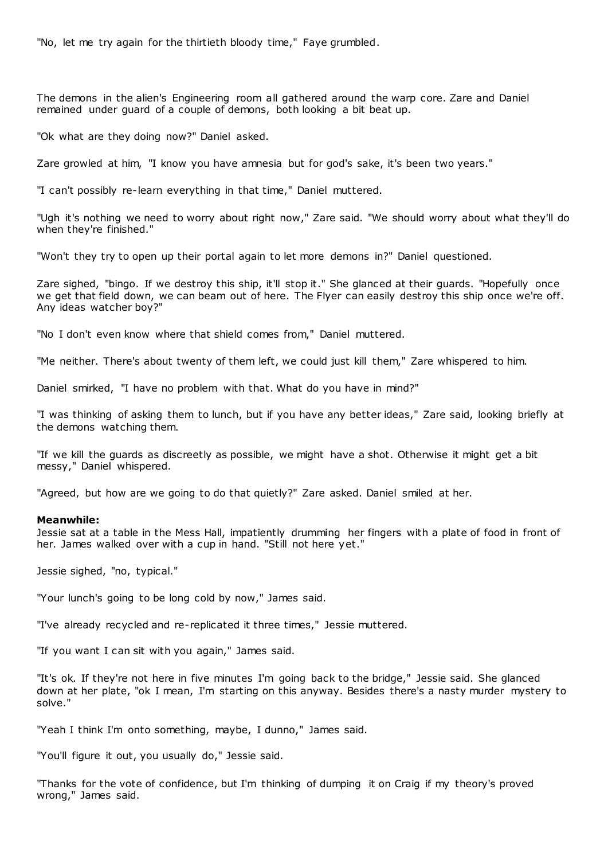"No, let me try again for the thirtieth bloody time," Faye grumbled.

The demons in the alien's Engineering room all gathered around the warp core. Zare and Daniel remained under guard of a couple of demons, both looking a bit beat up.

"Ok what are they doing now?" Daniel asked.

Zare growled at him, "I know you have amnesia but for god's sake, it's been two years."

"I can't possibly re-learn everything in that time," Daniel muttered.

"Ugh it's nothing we need to worry about right now," Zare said. "We should worry about what they'll do when they're finished."

"Won't they try to open up their portal again to let more demons in?" Daniel questioned.

Zare sighed, "bingo. If we destroy this ship, it'll stop it." She glanced at their guards. "Hopefully once we get that field down, we can beam out of here. The Flyer can easily destroy this ship once we're off. Any ideas watcher boy?"

"No I don't even know where that shield comes from," Daniel muttered.

"Me neither. There's about twenty of them left, we could just kill them," Zare whispered to him.

Daniel smirked, "I have no problem with that. What do you have in mind?"

"I was thinking of asking them to lunch, but if you have any better ideas," Zare said, looking briefly at the demons watching them.

"If we kill the guards as discreetly as possible, we might have a shot. Otherwise it might get a bit messy," Daniel whispered.

"Agreed, but how are we going to do that quietly?" Zare asked. Daniel smiled at her.

# **Meanwhile:**

Jessie sat at a table in the Mess Hall, impatiently drumming her fingers with a plate of food in front of her. James walked over with a cup in hand. "Still not here yet."

Jessie sighed, "no, typical."

"Your lunch's going to be long cold by now," James said.

"I've already recycled and re-replicated it three times," Jessie muttered.

"If you want I can sit with you again," James said.

"It's ok. If they're not here in five minutes I'm going back to the bridge," Jessie said. She glanced down at her plate, "ok I mean, I'm starting on this anyway. Besides there's a nasty murder mystery to solve."

"Yeah I think I'm onto something, maybe, I dunno," James said.

"You'll figure it out, you usually do," Jessie said.

"Thanks for the vote of confidence, but I'm thinking of dumping it on Craig if my theory's proved wrong," James said.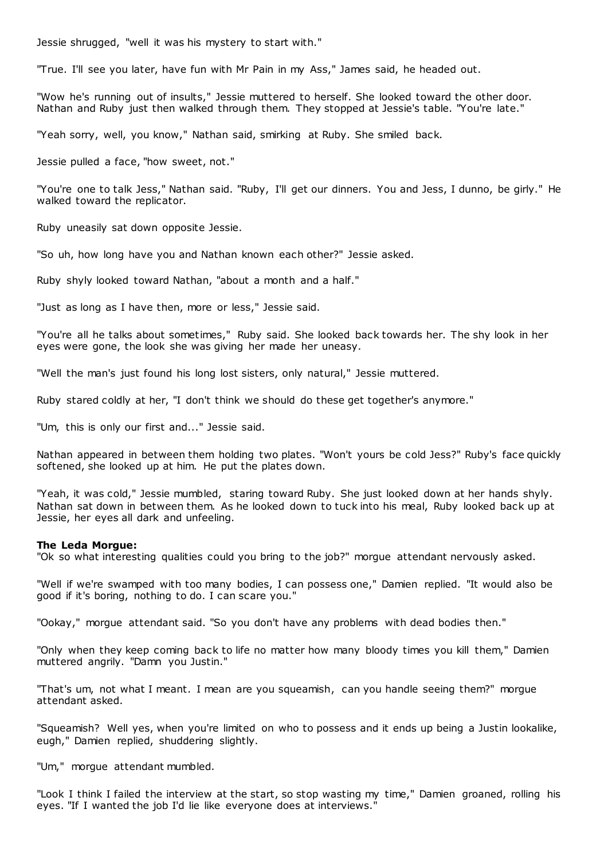Jessie shrugged, "well it was his mystery to start with."

"True. I'll see you later, have fun with Mr Pain in my Ass," James said, he headed out.

"Wow he's running out of insults," Jessie muttered to herself. She looked toward the other door. Nathan and Ruby just then walked through them. They stopped at Jessie's table. "You're late."

"Yeah sorry, well, you know," Nathan said, smirking at Ruby. She smiled back.

Jessie pulled a face, "how sweet, not."

"You're one to talk Jess," Nathan said. "Ruby, I'll get our dinners. You and Jess, I dunno, be girly." He walked toward the replicator.

Ruby uneasily sat down opposite Jessie.

"So uh, how long have you and Nathan known each other?" Jessie asked.

Ruby shyly looked toward Nathan, "about a month and a half."

"Just as long as I have then, more or less," Jessie said.

"You're all he talks about sometimes," Ruby said. She looked back towards her. The shy look in her eyes were gone, the look she was giving her made her uneasy.

"Well the man's just found his long lost sisters, only natural," Jessie muttered.

Ruby stared coldly at her, "I don't think we should do these get together's anymore."

"Um, this is only our first and..." Jessie said.

Nathan appeared in between them holding two plates. "Won't yours be cold Jess?" Ruby's face quickly softened, she looked up at him. He put the plates down.

"Yeah, it was cold," Jessie mumbled, staring toward Ruby. She just looked down at her hands shyly. Nathan sat down in between them. As he looked down to tuck into his meal, Ruby looked back up at Jessie, her eyes all dark and unfeeling.

### **The Leda Morgue:**

"Ok so what interesting qualities could you bring to the job?" morgue attendant nervously asked.

"Well if we're swamped with too many bodies, I can possess one," Damien replied. "It would also be good if it's boring, nothing to do. I can scare you."

"Ookay," morgue attendant said. "So you don't have any problems with dead bodies then."

"Only when they keep coming back to life no matter how many bloody times you kill them," Damien muttered angrily. "Damn you Justin."

"That's um, not what I meant. I mean are you squeamish, can you handle seeing them?" morgue attendant asked.

"Squeamish? Well yes, when you're limited on who to possess and it ends up being a Justin lookalike, eugh," Damien replied, shuddering slightly.

"Um," morgue attendant mumbled.

"Look I think I failed the interview at the start, so stop wasting my time," Damien groaned, rolling his eyes. "If I wanted the job I'd lie like everyone does at interviews."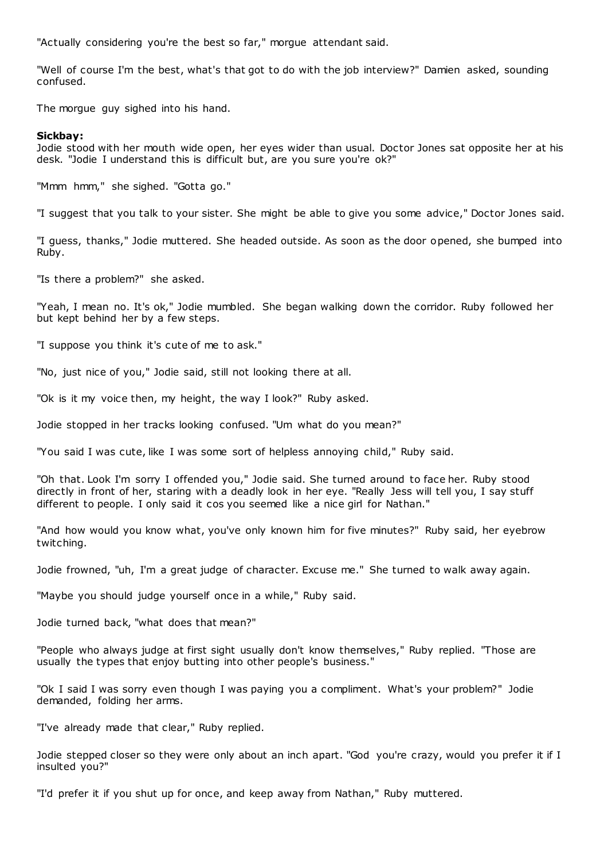"Actually considering you're the best so far," morgue attendant said.

"Well of course I'm the best, what's that got to do with the job interview?" Damien asked, sounding confused.

The morgue guy sighed into his hand.

# **Sickbay:**

Jodie stood with her mouth wide open, her eyes wider than usual. Doctor Jones sat opposite her at his desk. "Jodie I understand this is difficult but, are you sure you're ok?"

"Mmm hmm," she sighed. "Gotta go."

"I suggest that you talk to your sister. She might be able to give you some advice," Doctor Jones said.

"I guess, thanks," Jodie muttered. She headed outside. As soon as the door opened, she bumped into Ruby.

"Is there a problem?" she asked.

"Yeah, I mean no. It's ok," Jodie mumbled. She began walking down the corridor. Ruby followed her but kept behind her by a few steps.

"I suppose you think it's cute of me to ask."

"No, just nice of you," Jodie said, still not looking there at all.

"Ok is it my voice then, my height, the way I look?" Ruby asked.

Jodie stopped in her tracks looking confused. "Um what do you mean?"

"You said I was cute, like I was some sort of helpless annoying child," Ruby said.

"Oh that. Look I'm sorry I offended you," Jodie said. She turned around to face her. Ruby stood directly in front of her, staring with a deadly look in her eye. "Really Jess will tell you, I say stuff different to people. I only said it cos you seemed like a nice girl for Nathan."

"And how would you know what, you've only known him for five minutes?" Ruby said, her eyebrow twitching.

Jodie frowned, "uh, I'm a great judge of character. Excuse me." She turned to walk away again.

"Maybe you should judge yourself once in a while," Ruby said.

Jodie turned back, "what does that mean?"

"People who always judge at first sight usually don't know themselves," Ruby replied. "Those are usually the types that enjoy butting into other people's business."

"Ok I said I was sorry even though I was paying you a compliment. What's your problem?" Jodie demanded, folding her arms.

"I've already made that clear," Ruby replied.

Jodie stepped closer so they were only about an inch apart. "God you're crazy, would you prefer it if I insulted you?"

"I'd prefer it if you shut up for once, and keep away from Nathan," Ruby muttered.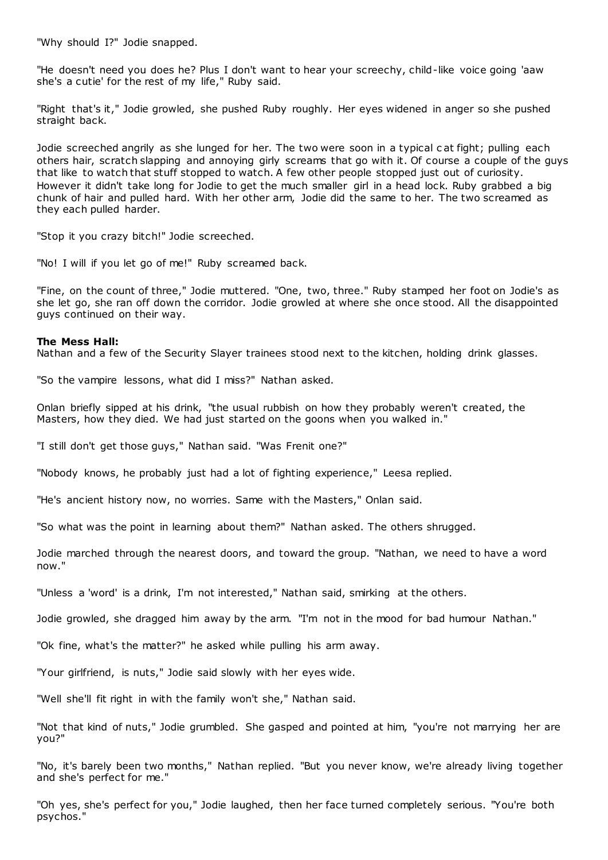"Why should I?" Jodie snapped.

"He doesn't need you does he? Plus I don't want to hear your screechy, child-like voice going 'aaw she's a cutie' for the rest of my life," Ruby said.

"Right that's it," Jodie growled, she pushed Ruby roughly. Her eyes widened in anger so she pushed straight back.

Jodie screeched angrily as she lunged for her. The two were soon in a typical c at fight; pulling each others hair, scratch slapping and annoying girly screams that go with it. Of course a couple of the guys that like to watch that stuff stopped to watch. A few other people stopped just out of curiosity. However it didn't take long for Jodie to get the much smaller girl in a head lock. Ruby grabbed a big chunk of hair and pulled hard. With her other arm, Jodie did the same to her. The two screamed as they each pulled harder.

"Stop it you crazy bitch!" Jodie screeched.

"No! I will if you let go of me!" Ruby screamed back.

"Fine, on the count of three," Jodie muttered. "One, two, three." Ruby stamped her foot on Jodie's as she let go, she ran off down the corridor. Jodie growled at where she once stood. All the disappointed guys continued on their way.

## **The Mess Hall:**

Nathan and a few of the Security Slayer trainees stood next to the kitchen, holding drink glasses.

"So the vampire lessons, what did I miss?" Nathan asked.

Onlan briefly sipped at his drink, "the usual rubbish on how they probably weren't created, the Masters, how they died. We had just started on the goons when you walked in."

"I still don't get those guys," Nathan said. "Was Frenit one?"

"Nobody knows, he probably just had a lot of fighting experience," Leesa replied.

"He's ancient history now, no worries. Same with the Masters," Onlan said.

"So what was the point in learning about them?" Nathan asked. The others shrugged.

Jodie marched through the nearest doors, and toward the group. "Nathan, we need to have a word now."

"Unless a 'word' is a drink, I'm not interested," Nathan said, smirking at the others.

Jodie growled, she dragged him away by the arm. "I'm not in the mood for bad humour Nathan."

"Ok fine, what's the matter?" he asked while pulling his arm away.

"Your girlfriend, is nuts," Jodie said slowly with her eyes wide.

"Well she'll fit right in with the family won't she," Nathan said.

"Not that kind of nuts," Jodie grumbled. She gasped and pointed at him, "you're not marrying her are you?"

"No, it's barely been two months," Nathan replied. "But you never know, we're already living together and she's perfect for me."

"Oh yes, she's perfect for you," Jodie laughed, then her face turned completely serious. "You're both psychos."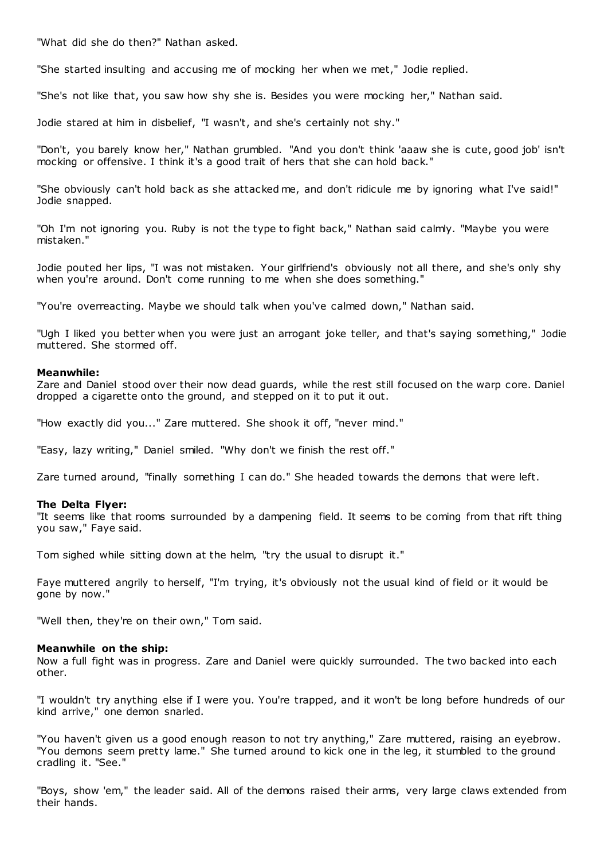"What did she do then?" Nathan asked.

"She started insulting and accusing me of mocking her when we met," Jodie replied.

"She's not like that, you saw how shy she is. Besides you were mocking her," Nathan said.

Jodie stared at him in disbelief, "I wasn't, and she's certainly not shy."

"Don't, you barely know her," Nathan grumbled. "And you don't think 'aaaw she is cute, good job' isn't mocking or offensive. I think it's a good trait of hers that she can hold back."

"She obviously can't hold back as she attacked me, and don't ridicule me by ignoring what I've said!" Jodie snapped.

"Oh I'm not ignoring you. Ruby is not the type to fight back," Nathan said calmly. "Maybe you were mistaken."

Jodie pouted her lips, "I was not mistaken. Your girlfriend's obviously not all there, and she's only shy when you're around. Don't come running to me when she does something."

"You're overreacting. Maybe we should talk when you've calmed down," Nathan said.

"Ugh I liked you better when you were just an arrogant joke teller, and that's saying something," Jodie muttered. She stormed off.

## **Meanwhile:**

Zare and Daniel stood over their now dead guards, while the rest still focused on the warp core. Daniel dropped a cigarette onto the ground, and stepped on it to put it out.

"How exactly did you..." Zare muttered. She shook it off, "never mind."

"Easy, lazy writing," Daniel smiled. "Why don't we finish the rest off."

Zare turned around, "finally something I can do." She headed towards the demons that were left.

### **The Delta Flyer:**

"It seems like that rooms surrounded by a dampening field. It seems to be coming from that rift thing you saw," Faye said.

Tom sighed while sitting down at the helm, "try the usual to disrupt it."

Faye muttered angrily to herself, "I'm trying, it's obviously not the usual kind of field or it would be gone by now."

"Well then, they're on their own," Tom said.

## **Meanwhile on the ship:**

Now a full fight was in progress. Zare and Daniel were quickly surrounded. The two backed into each other.

"I wouldn't try anything else if I were you. You're trapped, and it won't be long before hundreds of our kind arrive," one demon snarled.

"You haven't given us a good enough reason to not try anything," Zare muttered, raising an eyebrow. "You demons seem pretty lame." She turned around to kick one in the leg, it stumbled to the ground cradling it. "See."

"Boys, show 'em," the leader said. All of the demons raised their arms, very large claws extended from their hands.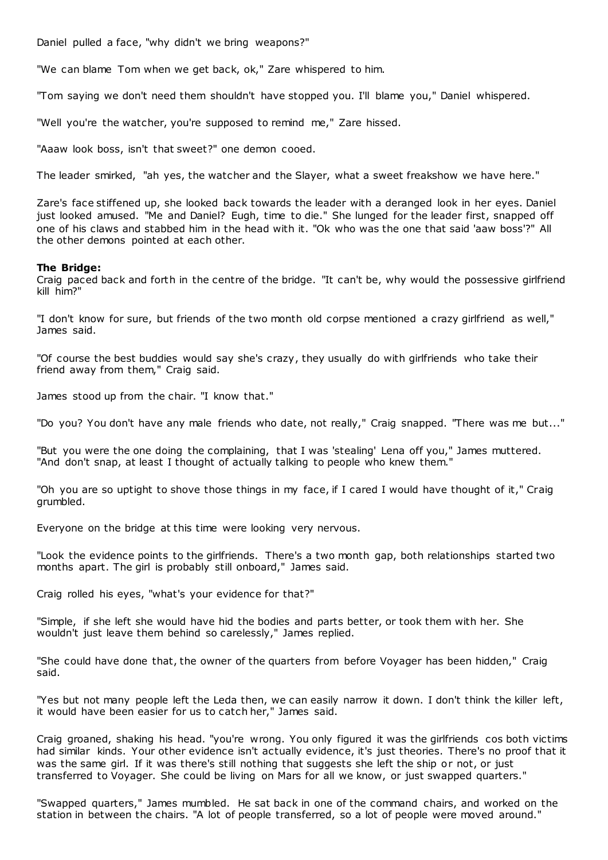Daniel pulled a face, "why didn't we bring weapons?"

"We can blame Tom when we get back, ok," Zare whispered to him.

"Tom saying we don't need them shouldn't have stopped you. I'll blame you," Daniel whispered.

"Well you're the watcher, you're supposed to remind me," Zare hissed.

"Aaaw look boss, isn't that sweet?" one demon cooed.

The leader smirked, "ah yes, the watcher and the Slayer, what a sweet freakshow we have here."

Zare's face stiffened up, she looked back towards the leader with a deranged look in her eyes. Daniel just looked amused. "Me and Daniel? Eugh, time to die." She lunged for the leader first, snapped off one of his claws and stabbed him in the head with it. "Ok who was the one that said 'aaw boss'?" All the other demons pointed at each other.

# **The Bridge:**

Craig paced back and forth in the centre of the bridge. "It can't be, why would the possessive girlfriend kill him?"

"I don't know for sure, but friends of the two month old corpse mentioned a crazy girlfriend as well," James said.

"Of course the best buddies would say she's crazy, they usually do with girlfriends who take their friend away from them," Craig said.

James stood up from the chair. "I know that."

"Do you? You don't have any male friends who date, not really," Craig snapped. "There was me but..."

"But you were the one doing the complaining, that I was 'stealing' Lena off you," James muttered. "And don't snap, at least I thought of actually talking to people who knew them."

"Oh you are so uptight to shove those things in my face, if I cared I would have thought of it," Craig grumbled.

Everyone on the bridge at this time were looking very nervous.

"Look the evidence points to the girlfriends. There's a two month gap, both relationships started two months apart. The girl is probably still onboard," James said.

Craig rolled his eyes, "what's your evidence for that?"

"Simple, if she left she would have hid the bodies and parts better, or took them with her. She wouldn't just leave them behind so carelessly," James replied.

"She could have done that, the owner of the quarters from before Voyager has been hidden," Craig said.

"Yes but not many people left the Leda then, we can easily narrow it down. I don't think the killer left, it would have been easier for us to catch her," James said.

Craig groaned, shaking his head. "you're wrong. You only figured it was the girlfriends cos both victims had similar kinds. Your other evidence isn't actually evidence, it's just theories. There's no proof that it was the same girl. If it was there's still nothing that suggests she left the ship or not, or just transferred to Voyager. She could be living on Mars for all we know, or just swapped quarters."

"Swapped quarters," James mumbled. He sat back in one of the command chairs, and worked on the station in between the chairs. "A lot of people transferred, so a lot of people were moved around."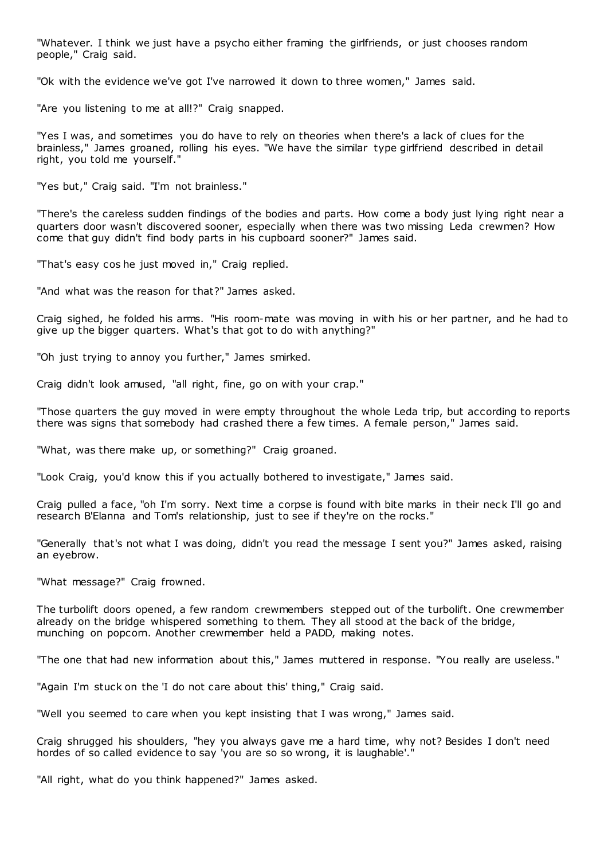"Whatever. I think we just have a psycho either framing the girlfriends, or just chooses random people," Craig said.

"Ok with the evidence we've got I've narrowed it down to three women," James said.

"Are you listening to me at all!?" Craig snapped.

"Yes I was, and sometimes you do have to rely on theories when there's a lack of clues for the brainless," James groaned, rolling his eyes. "We have the similar type girlfriend described in detail right, you told me yourself."

"Yes but," Craig said. "I'm not brainless."

"There's the careless sudden findings of the bodies and parts. How come a body just lying right near a quarters door wasn't discovered sooner, especially when there was two missing Leda crewmen? How come that guy didn't find body parts in his cupboard sooner?" James said.

"That's easy cos he just moved in," Craig replied.

"And what was the reason for that?" James asked.

Craig sighed, he folded his arms. "His room-mate was moving in with his or her partner, and he had to give up the bigger quarters. What's that got to do with anything?"

"Oh just trying to annoy you further," James smirked.

Craig didn't look amused, "all right, fine, go on with your crap."

"Those quarters the guy moved in were empty throughout the whole Leda trip, but according to reports there was signs that somebody had crashed there a few times. A female person," James said.

"What, was there make up, or something?" Craig groaned.

"Look Craig, you'd know this if you actually bothered to investigate," James said.

Craig pulled a face, "oh I'm sorry. Next time a corpse is found with bite marks in their neck I'll go and research B'Elanna and Tom's relationship, just to see if they're on the rocks."

"Generally that's not what I was doing, didn't you read the message I sent you?" James asked, raising an eyebrow.

"What message?" Craig frowned.

The turbolift doors opened, a few random crewmembers stepped out of the turbolift. One crewmember already on the bridge whispered something to them. They all stood at the back of the bridge, munching on popcorn. Another crewmember held a PADD, making notes.

"The one that had new information about this," James muttered in response. "You really are useless."

"Again I'm stuck on the 'I do not care about this' thing," Craig said.

"Well you seemed to care when you kept insisting that I was wrong," James said.

Craig shrugged his shoulders, "hey you always gave me a hard time, why not? Besides I don't need hordes of so called evidence to say 'you are so so wrong, it is laughable'.'

"All right, what do you think happened?" James asked.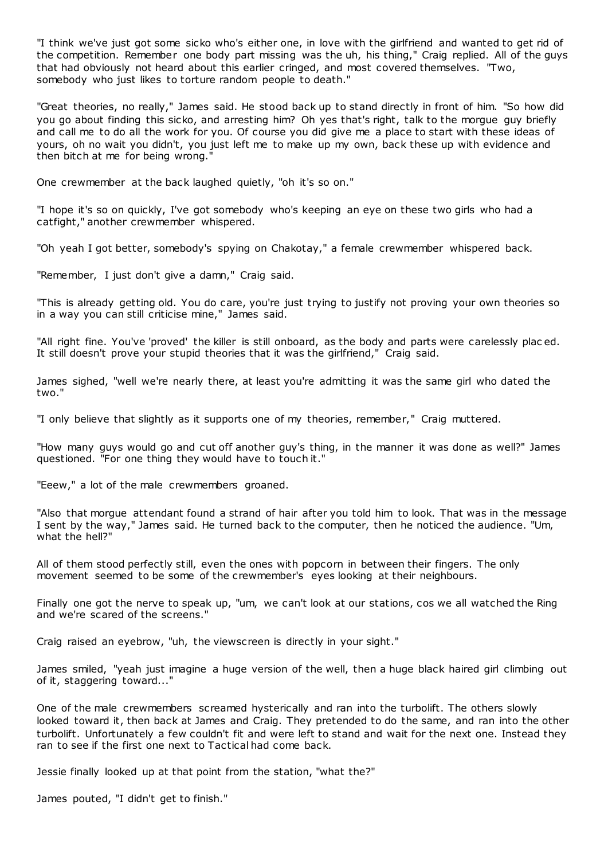"I think we've just got some sicko who's either one, in love with the girlfriend and wanted to get rid of the competition. Remember one body part missing was the uh, his thing," Craig replied. All of the guys that had obviously not heard about this earlier cringed, and most covered themselves. "Two, somebody who just likes to torture random people to death."

"Great theories, no really," James said. He stood back up to stand directly in front of him. "So how did you go about finding this sicko, and arresting him? Oh yes that's right, talk to the morgue guy briefly and call me to do all the work for you. Of course you did give me a place to start with these ideas of yours, oh no wait you didn't, you just left me to make up my own, back these up with evidence and then bitch at me for being wrong."

One crewmember at the back laughed quietly, "oh it's so on."

"I hope it's so on quickly, I've got somebody who's keeping an eye on these two girls who had a catfight," another crewmember whispered.

"Oh yeah I got better, somebody's spying on Chakotay," a female crewmember whispered back.

"Remember, I just don't give a damn," Craig said.

"This is already getting old. You do care, you're just trying to justify not proving your own theories so in a way you can still criticise mine," James said.

"All right fine. You've 'proved' the killer is still onboard, as the body and parts were carelessly plac ed. It still doesn't prove your stupid theories that it was the girlfriend," Craig said.

James sighed, "well we're nearly there, at least you're admitting it was the same girl who dated the two."

"I only believe that slightly as it supports one of my theories, remember," Craig muttered.

"How many guys would go and cut off another guy's thing, in the manner it was done as well?" James questioned. "For one thing they would have to touch it."

"Eeew," a lot of the male crewmembers groaned.

"Also that morgue attendant found a strand of hair after you told him to look. That was in the message I sent by the way," James said. He turned back to the computer, then he noticed the audience. "Um, what the hell?"

All of them stood perfectly still, even the ones with popcorn in between their fingers. The only movement seemed to be some of the crewmember's eyes looking at their neighbours.

Finally one got the nerve to speak up, "um, we can't look at our stations, cos we all watched the Ring and we're scared of the screens."

Craig raised an eyebrow, "uh, the viewscreen is directly in your sight."

James smiled, "yeah just imagine a huge version of the well, then a huge black haired girl climbing out of it, staggering toward..."

One of the male crewmembers screamed hysterically and ran into the turbolift. The others slowly looked toward it, then back at James and Craig. They pretended to do the same, and ran into the other turbolift. Unfortunately a few couldn't fit and were left to stand and wait for the next one. Instead they ran to see if the first one next to Tactical had come back.

Jessie finally looked up at that point from the station, "what the?"

James pouted, "I didn't get to finish."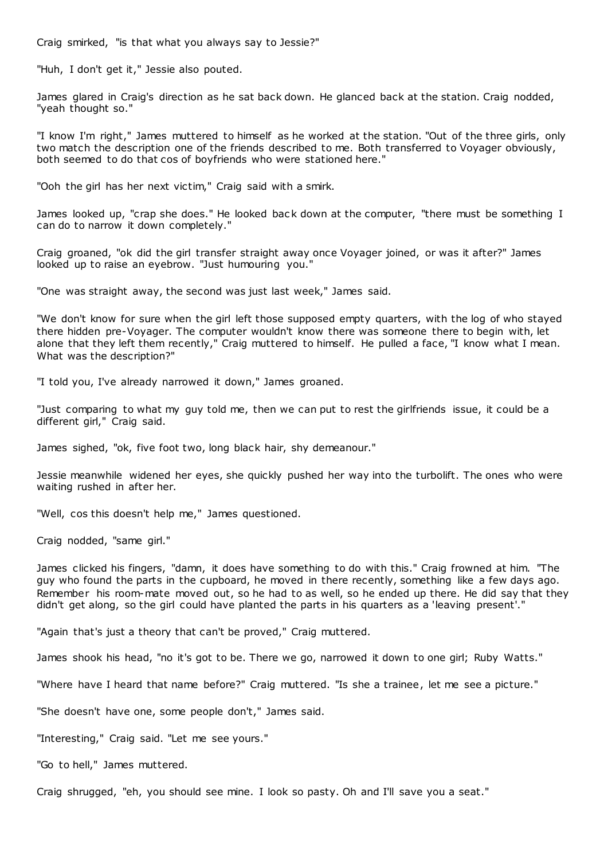Craig smirked, "is that what you always say to Jessie?"

"Huh, I don't get it," Jessie also pouted.

James glared in Craig's direction as he sat back down. He glanced back at the station. Craig nodded, "yeah thought so."

"I know I'm right," James muttered to himself as he worked at the station. "Out of the three girls, only two match the description one of the friends described to me. Both transferred to Voyager obviously, both seemed to do that cos of boyfriends who were stationed here."

"Ooh the girl has her next victim," Craig said with a smirk.

James looked up, "crap she does." He looked back down at the computer, "there must be something I can do to narrow it down completely."

Craig groaned, "ok did the girl transfer straight away once Voyager joined, or was it after?" James looked up to raise an eyebrow. "Just humouring you."

"One was straight away, the second was just last week," James said.

"We don't know for sure when the girl left those supposed empty quarters, with the log of who stayed there hidden pre-Voyager. The computer wouldn't know there was someone there to begin with, let alone that they left them recently," Craig muttered to himself. He pulled a face, "I know what I mean. What was the description?"

"I told you, I've already narrowed it down," James groaned.

"Just comparing to what my guy told me, then we can put to rest the girlfriends issue, it could be a different girl," Craig said.

James sighed, "ok, five foot two, long black hair, shy demeanour."

Jessie meanwhile widened her eyes, she quickly pushed her way into the turbolift. The ones who were waiting rushed in after her.

"Well, cos this doesn't help me," James questioned.

Craig nodded, "same girl."

James clicked his fingers, "damn, it does have something to do with this." Craig frowned at him. "The guy who found the parts in the cupboard, he moved in there recently, something like a few days ago. Remember his room-mate moved out, so he had to as well, so he ended up there. He did say that they didn't get along, so the girl could have planted the parts in his quarters as a 'leaving present'."

"Again that's just a theory that can't be proved," Craig muttered.

James shook his head, "no it's got to be. There we go, narrowed it down to one girl; Ruby Watts."

"Where have I heard that name before?" Craig muttered. "Is she a trainee, let me see a picture."

"She doesn't have one, some people don't," James said.

"Interesting," Craig said. "Let me see yours."

"Go to hell," James muttered.

Craig shrugged, "eh, you should see mine. I look so pasty. Oh and I'll save you a seat."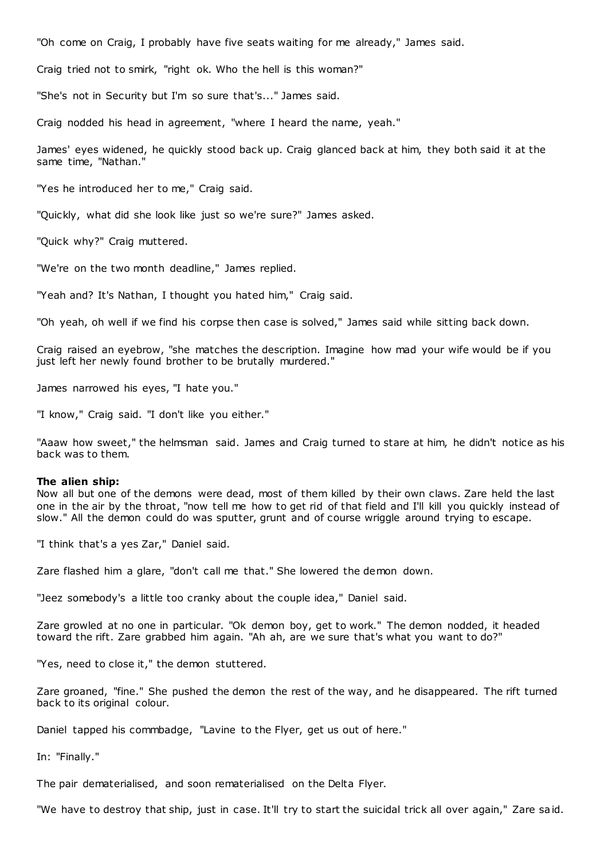"Oh come on Craig, I probably have five seats waiting for me already," James said.

Craig tried not to smirk, "right ok. Who the hell is this woman?"

"She's not in Security but I'm so sure that's..." James said.

Craig nodded his head in agreement, "where I heard the name, yeah."

James' eyes widened, he quickly stood back up. Craig glanced back at him, they both said it at the same time, "Nathan."

"Yes he introduced her to me," Craig said.

"Quickly, what did she look like just so we're sure?" James asked.

"Quick why?" Craig muttered.

"We're on the two month deadline," James replied.

"Yeah and? It's Nathan, I thought you hated him," Craig said.

"Oh yeah, oh well if we find his corpse then case is solved," James said while sitting back down.

Craig raised an eyebrow, "she matches the description. Imagine how mad your wife would be if you just left her newly found brother to be brutally murdered."

James narrowed his eyes, "I hate you."

"I know," Craig said. "I don't like you either."

"Aaaw how sweet," the helmsman said. James and Craig turned to stare at him, he didn't notice as his back was to them.

#### **The alien ship:**

Now all but one of the demons were dead, most of them killed by their own claws. Zare held the last one in the air by the throat, "now tell me how to get rid of that field and I'll kill you quickly instead of slow." All the demon could do was sputter, grunt and of course wriggle around trying to escape.

"I think that's a yes Zar," Daniel said.

Zare flashed him a glare, "don't call me that." She lowered the demon down.

"Jeez somebody's a little too cranky about the couple idea," Daniel said.

Zare growled at no one in particular. "Ok demon boy, get to work." The demon nodded, it headed toward the rift. Zare grabbed him again. "Ah ah, are we sure that's what you want to do?"

"Yes, need to close it," the demon stuttered.

Zare groaned, "fine." She pushed the demon the rest of the way, and he disappeared. The rift turned back to its original colour.

Daniel tapped his commbadge, "Lavine to the Flyer, get us out of here."

In: "Finally."

The pair dematerialised, and soon rematerialised on the Delta Flyer.

"We have to destroy that ship, just in case. It'll try to start the suicidal trick all over again," Zare said.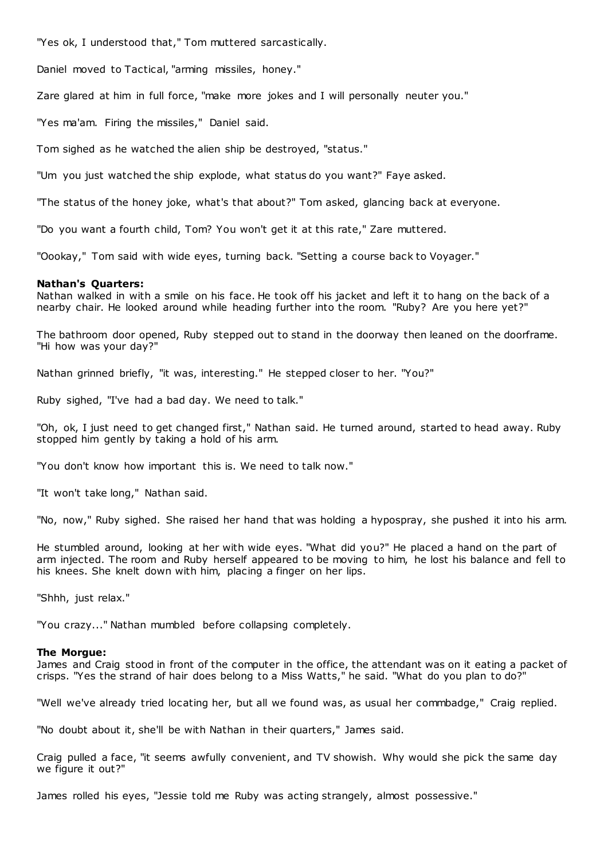"Yes ok, I understood that," Tom muttered sarcastically.

Daniel moved to Tactical, "arming missiles, honey."

Zare glared at him in full force, "make more jokes and I will personally neuter you."

"Yes ma'am. Firing the missiles," Daniel said.

Tom sighed as he watched the alien ship be destroyed, "status."

"Um you just watched the ship explode, what status do you want?" Faye asked.

"The status of the honey joke, what's that about?" Tom asked, glancing back at everyone.

"Do you want a fourth child, Tom? You won't get it at this rate," Zare muttered.

"Oookay," Tom said with wide eyes, turning back. "Setting a course back to Voyager."

# **Nathan's Quarters:**

Nathan walked in with a smile on his face. He took off his jacket and left it to hang on the back of a nearby chair. He looked around while heading further into the room. "Ruby? Are you here yet?"

The bathroom door opened, Ruby stepped out to stand in the doorway then leaned on the doorframe. "Hi how was your day?"

Nathan grinned briefly, "it was, interesting." He stepped closer to her. "You?"

Ruby sighed, "I've had a bad day. We need to talk."

"Oh, ok, I just need to get changed first," Nathan said. He turned around, started to head away. Ruby stopped him gently by taking a hold of his arm.

"You don't know how important this is. We need to talk now."

"It won't take long," Nathan said.

"No, now," Ruby sighed. She raised her hand that was holding a hypospray, she pushed it into his arm.

He stumbled around, looking at her with wide eyes. "What did you?" He placed a hand on the part of arm injected. The room and Ruby herself appeared to be moving to him, he lost his balance and fell to his knees. She knelt down with him, placing a finger on her lips.

"Shhh, just relax."

"You crazy..." Nathan mumbled before collapsing completely.

### **The Morgue:**

James and Craig stood in front of the computer in the office, the attendant was on it eating a packet of crisps. "Yes the strand of hair does belong to a Miss Watts," he said. "What do you plan to do?"

"Well we've already tried locating her, but all we found was, as usual her commbadge," Craig replied.

"No doubt about it, she'll be with Nathan in their quarters," James said.

Craig pulled a face, "it seems awfully convenient, and TV showish. Why would she pick the same day we figure it out?"

James rolled his eyes, "Jessie told me Ruby was acting strangely, almost possessive."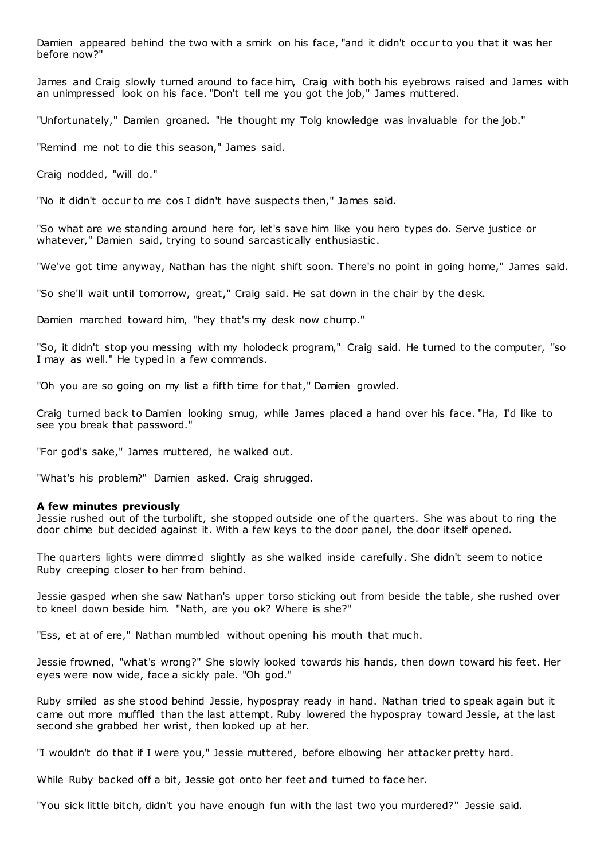Damien appeared behind the two with a smirk on his face, "and it didn't occur to you that it was her before now?"

James and Craig slowly turned around to face him, Craig with both his eyebrows raised and James with an unimpressed look on his face. "Don't tell me you got the job," James muttered.

"Unfortunately," Damien groaned. "He thought my Tolg knowledge was invaluable for the job."

"Remind me not to die this season," James said.

Craig nodded, "will do."

"No it didn't occur to me cos I didn't have suspects then," James said.

"So what are we standing around here for, let's save him like you hero types do. Serve justice or whatever," Damien said, trying to sound sarcastically enthusiastic .

"We've got time anyway, Nathan has the night shift soon. There's no point in going home," James said.

"So she'll wait until tomorrow, great," Craig said. He sat down in the chair by the desk.

Damien marched toward him, "hey that's my desk now chump."

"So, it didn't stop you messing with my holodeck program," Craig said. He turned to the computer, "so I may as well." He typed in a few commands.

"Oh you are so going on my list a fifth time for that," Damien growled.

Craig turned back to Damien looking smug, while James placed a hand over his face. "Ha, I'd like to see you break that password."

"For god's sake," James muttered, he walked out.

"What's his problem?" Damien asked. Craig shrugged.

### **A few minutes previously**

Jessie rushed out of the turbolift, she stopped outside one of the quarters. She was about to ring the door chime but decided against it. With a few keys to the door panel, the door itself opened.

The quarters lights were dimmed slightly as she walked inside carefully. She didn't seem to notice Ruby creeping closer to her from behind.

Jessie gasped when she saw Nathan's upper torso sticking out from beside the table, she rushed over to kneel down beside him. "Nath, are you ok? Where is she?"

"Ess, et at of ere," Nathan mumbled without opening his mouth that much.

Jessie frowned, "what's wrong?" She slowly looked towards his hands, then down toward his feet. Her eyes were now wide, face a sickly pale. "Oh god."

Ruby smiled as she stood behind Jessie, hypospray ready in hand. Nathan tried to speak again but it came out more muffled than the last attempt. Ruby lowered the hypospray toward Jessie, at the last second she grabbed her wrist, then looked up at her.

"I wouldn't do that if I were you," Jessie muttered, before elbowing her attacker pretty hard.

While Ruby backed off a bit, Jessie got onto her feet and turned to face her.

"You sick little bitch, didn't you have enough fun with the last two you murdered?" Jessie said.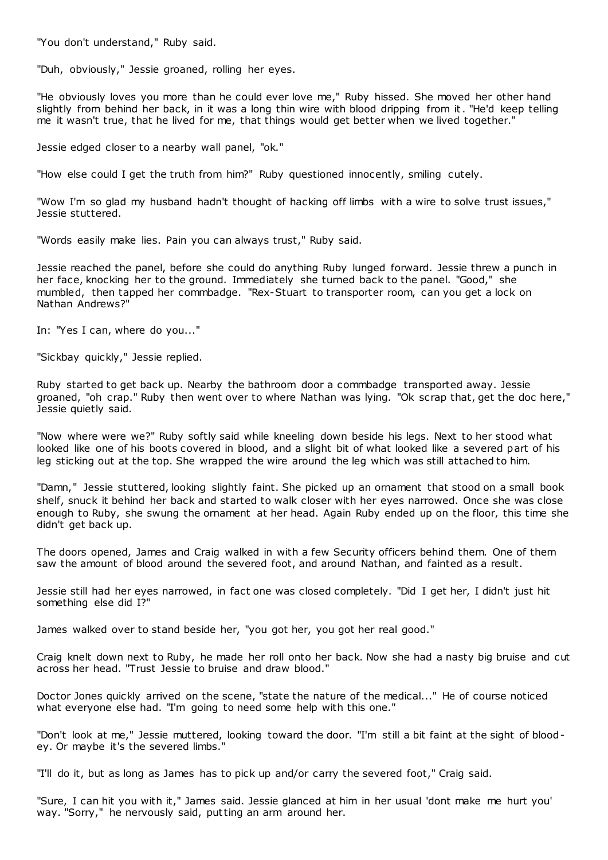"You don't understand," Ruby said.

"Duh, obviously," Jessie groaned, rolling her eyes.

"He obviously loves you more than he could ever love me," Ruby hissed. She moved her other hand slightly from behind her back, in it was a long thin wire with blood dripping from it. "He'd keep telling me it wasn't true, that he lived for me, that things would get better when we lived together."

Jessie edged closer to a nearby wall panel, "ok."

"How else could I get the truth from him?" Ruby questioned innocently, smiling cutely.

"Wow I'm so glad my husband hadn't thought of hacking off limbs with a wire to solve trust issues," Jessie stuttered.

"Words easily make lies. Pain you can always trust," Ruby said.

Jessie reached the panel, before she could do anything Ruby lunged forward. Jessie threw a punch in her face, knocking her to the ground. Immediately she turned back to the panel. "Good," she mumbled, then tapped her commbadge. "Rex-Stuart to transporter room, can you get a lock on Nathan Andrews?"

In: "Yes I can, where do you..."

"Sickbay quickly," Jessie replied.

Ruby started to get back up. Nearby the bathroom door a commbadge transported away. Jessie groaned, "oh crap." Ruby then went over to where Nathan was lying. "Ok scrap that, get the doc here," Jessie quietly said.

"Now where were we?" Ruby softly said while kneeling down beside his legs. Next to her stood what looked like one of his boots covered in blood, and a slight bit of what looked like a severed part of his leg sticking out at the top. She wrapped the wire around the leg which was still attached to him.

"Damn," Jessie stuttered, looking slightly faint. She picked up an ornament that stood on a small book shelf, snuck it behind her back and started to walk closer with her eyes narrowed. Once she was close enough to Ruby, she swung the ornament at her head. Again Ruby ended up on the floor, this time she didn't get back up.

The doors opened, James and Craig walked in with a few Security officers behind them. One of them saw the amount of blood around the severed foot, and around Nathan, and fainted as a result.

Jessie still had her eyes narrowed, in fact one was closed completely. "Did I get her, I didn't just hit something else did I?"

James walked over to stand beside her, "you got her, you got her real good."

Craig knelt down next to Ruby, he made her roll onto her back. Now she had a nasty big bruise and cut across her head. "Trust Jessie to bruise and draw blood."

Doctor Jones quickly arrived on the scene, "state the nature of the medical..." He of course noticed what everyone else had. "I'm going to need some help with this one."

"Don't look at me," Jessie muttered, looking toward the door. "I'm still a bit faint at the sight of bloodey. Or maybe it's the severed limbs."

"I'll do it, but as long as James has to pick up and/or carry the severed foot," Craig said.

"Sure, I can hit you with it," James said. Jessie glanced at him in her usual 'dont make me hurt you' way. "Sorry," he nervously said, putting an arm around her.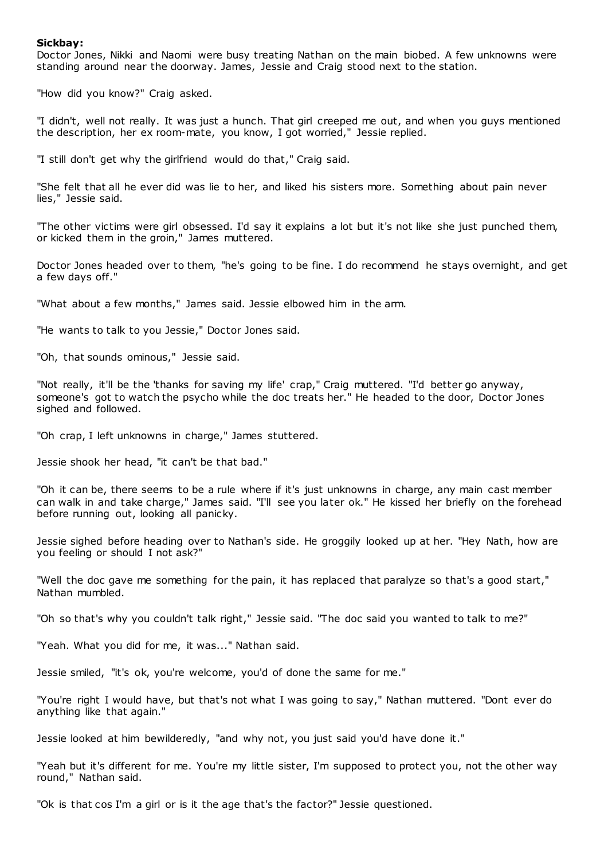# **Sickbay:**

Doctor Jones, Nikki and Naomi were busy treating Nathan on the main biobed. A few unknowns were standing around near the doorway. James, Jessie and Craig stood next to the station.

"How did you know?" Craig asked.

"I didn't, well not really. It was just a hunch. That girl creeped me out, and when you guys mentioned the description, her ex room-mate, you know, I got worried," Jessie replied.

"I still don't get why the girlfriend would do that," Craig said.

"She felt that all he ever did was lie to her, and liked his sisters more. Something about pain never lies," Jessie said.

"The other victims were girl obsessed. I'd say it explains a lot but it's not like she just punched them, or kicked them in the groin," James muttered.

Doctor Jones headed over to them, "he's going to be fine. I do recommend he stays overnight, and get a few days off."

"What about a few months," James said. Jessie elbowed him in the arm.

"He wants to talk to you Jessie," Doctor Jones said.

"Oh, that sounds ominous," Jessie said.

"Not really, it'll be the 'thanks for saving my life' crap," Craig muttered. "I'd better go anyway, someone's got to watch the psycho while the doc treats her." He headed to the door, Doctor Jones sighed and followed.

"Oh crap, I left unknowns in charge," James stuttered.

Jessie shook her head, "it can't be that bad."

"Oh it can be, there seems to be a rule where if it's just unknowns in charge, any main cast member can walk in and take charge," James said. "I'll see you later ok." He kissed her briefly on the forehead before running out, looking all panicky.

Jessie sighed before heading over to Nathan's side. He groggily looked up at her. "Hey Nath, how are you feeling or should I not ask?"

"Well the doc gave me something for the pain, it has replaced that paralyze so that's a good start," Nathan mumbled.

"Oh so that's why you couldn't talk right," Jessie said. "The doc said you wanted to talk to me?"

"Yeah. What you did for me, it was..." Nathan said.

Jessie smiled, "it's ok, you're welcome, you'd of done the same for me."

"You're right I would have, but that's not what I was going to say," Nathan muttered. "Dont ever do anything like that again."

Jessie looked at him bewilderedly, "and why not, you just said you'd have done it."

"Yeah but it's different for me. You're my little sister, I'm supposed to protect you, not the other way round," Nathan said.

"Ok is that cos I'm a girl or is it the age that's the factor?" Jessie questioned.